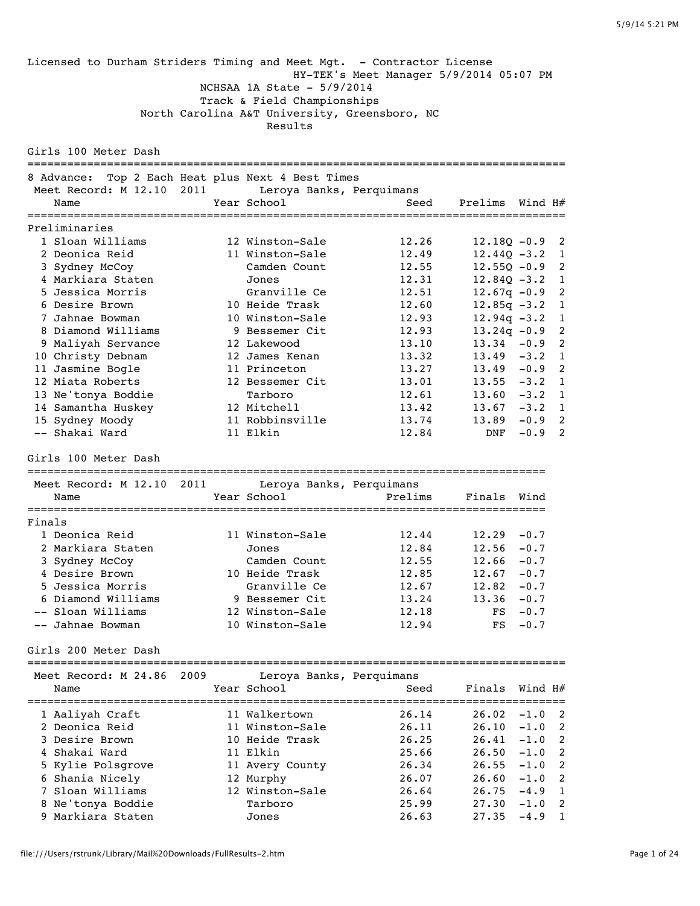Licensed to Durham Striders Timing and Meet Mgt. - Contractor License HY-TEK's Meet Manager 5/9/2014 05:07 PM NCHSAA 1A State - 5/9/2014 Track & Field Championships North Carolina A&T University, Greensboro, NC Results Girls 100 Meter Dash ================================================================================= 8 Advance: Top 2 Each Heat plus Next 4 Best Times Meet Record: M 12.10 2011 Leroya Banks, Perquimans Name Year School Seed Prelims Wind H# ================================================================================= Preliminaries 1 Sloan Williams 12 Winston-Sale 12.26 12.18Q -0.9 2 2 Deonica Reid 11 Winston-Sale 12.49 12.44Q -3.2 1 3 Sydney McCoy Camden Count 12.55 12.55Q -0.9 2 4 Markiara Staten Jones 12.31 12.84Q -3.2 1 5 Jessica Morris Granville Ce 12.51 12.67q -0.9 2 6 Desire Brown 10 Heide Trask 12.60 12.85q -3.2 1 7 Jahnae Bowman 10 Winston-Sale 12.93 12.94q -3.2 1 8 Diamond Williams 9 Bessemer Cit 12.93 13.24q -0.9 2 9 Maliyah Servance 12 Lakewood 13.10 13.34 -0.9 2 10 Christy Debnam 12 James Kenan 13.32 13.49 -3.2 1 11 Jasmine Bogle 11 Princeton 13.27 13.49 -0.9 2 12 Miata Roberts 12 Bessemer Cit 13.01 13.55 -3.2 1 13 Ne'tonya Boddie Tarboro 12.61 13.60 -3.2 1 14 Samantha Huskey 12 Mitchell 13.42 13.67 -3.2 1 15 Sydney Moody 11 Robbinsville 13.74 13.89 -0.9 2 -- Shakai Ward 11 Elkin 12.84 DNF -0.9 2 Girls 100 Meter Dash ============================================================================== Meet Record: M 12.10 2011 Leroya Banks, Perquimans Name Year School Prelims Finals Wind ============================================================================== Finals 1 Deonica Reid 11 Winston-Sale 12.44 12.29 -0.7 2 Markiara Staten Jones 12.84 12.56 -0.7 3 Sydney McCoy Camden Count 12.55 12.66 -0.7 4 Desire Brown 10 Heide Trask 12.85 12.67 -0.7 5 Jessica Morris Granville Ce 12.67 12.82 -0.7 6 Diamond Williams 9 Bessemer Cit 13.24 13.36 -0.7 -- Sloan Williams 12 Winston-Sale 12.18 FS -0.7 -- Jahnae Bowman 10 Winston-Sale 12.94 FS -0.7 Girls 200 Meter Dash ================================================================================= Meet Record: M 24.86 2009 Leroya Banks, Perquimans Name Year School Seed Finals Wind H# ================================================================================= 1 Aaliyah Craft 11 Walkertown 26.14 26.02 -1.0 2 2 Deonica Reid 11 Winston-Sale 26.11 26.10 -1.0 2 3 Desire Brown 10 Heide Trask 26.25 26.41 -1.0 2 4 Shakai Ward 11 Elkin 25.66 26.50 -1.0 2 5 Kylie Polsgrove 11 Avery County 26.34 26.55 -1.0 2 6 Shania Nicely 12 Murphy 26.07 26.60 -1.0 2 7 Sloan Williams 12 Winston-Sale 26.64 26.75 -4.9 1 8 Ne'tonya Boddie Tarboro 25.99 27.30 -1.0 2 9 Markiara Staten Jones 26.63 27.35 -4.9 1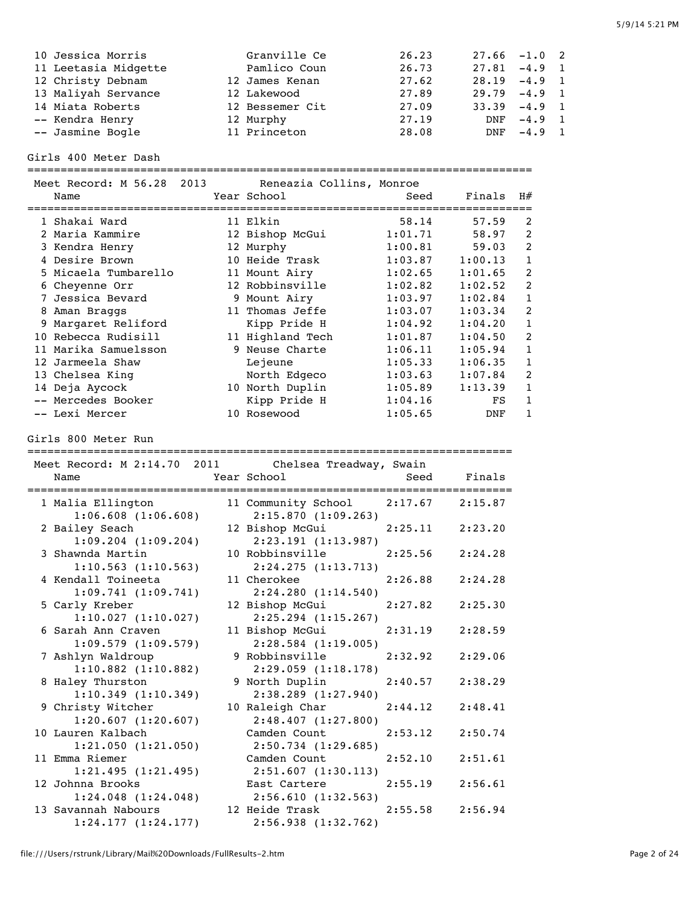| 5/9/14 5:21 PM |
|----------------|
|----------------|

| 10 Jessica Morris    | Granville Ce    | 26.23 | $27.66 -1.0$ 2  |              |  |
|----------------------|-----------------|-------|-----------------|--------------|--|
| 11 Leetasia Midgette | Pamlico Coun    | 26.73 | $27.81 - 4.9 1$ |              |  |
| 12 Christy Debnam    | 12 James Kenan  | 27.62 | $28.19 - 4.9$ 1 |              |  |
| 13 Maliyah Servance  | 12 Lakewood     | 27.89 | $29.79 - 4.9$ 1 |              |  |
| 14 Miata Roberts     | 12 Bessemer Cit | 27.09 | $33.39 -4.9$ 1  |              |  |
| -- Kendra Henry      | 12 Murphy       | 27.19 |                 | DNF -4.9 1   |  |
| -- Jasmine Bogle     | 11 Princeton    | 28.08 |                 | $DNF -4.9 1$ |  |

Girls 400 Meter Dash

============================================================================

| Meet Record: M 56.28 2013<br>Name |  | Reneazia Collins, Monroe<br>Year School | Seed    | Finals  | H#             |
|-----------------------------------|--|-----------------------------------------|---------|---------|----------------|
| 1 Shakai Ward                     |  | 11 Elkin                                | 58.14   | 57.59   | 2              |
| 2 Maria Kammire                   |  | 12 Bishop McGui                         | 1:01.71 | 58.97   | $\mathfrak{D}$ |
| 3 Kendra Henry                    |  | 12 Murphy                               | 1:00.81 | 59.03   | $\mathfrak{D}$ |
| 4 Desire Brown                    |  | 10 Heide Trask                          | 1:03.87 | 1:00.13 | $\mathbf{1}$   |
| 5 Micaela Tumbarello              |  | 11 Mount Airy                           | 1:02.65 | 1:01.65 | $\mathfrak{D}$ |
| 6 Cheyenne Orr                    |  | 12 Robbinsville                         | 1:02.82 | 1:02.52 | 2              |
| 7 Jessica Bevard                  |  | 9 Mount Airy                            | 1:03.97 | 1:02.84 | 1              |
| 8 Aman Braggs                     |  | 11 Thomas Jeffe                         | 1:03.07 | 1:03.34 | 2              |
| 9 Margaret Reliford               |  | Kipp Pride H                            | 1:04.92 | 1:04.20 | 1              |
| 10 Rebecca Rudisill               |  | 11 Highland Tech                        | 1:01.87 | 1:04.50 | 2              |
| 11 Marika Samuelsson              |  | 9 Neuse Charte                          | 1:06.11 | 1:05.94 | 1              |
| 12 Jarmeela Shaw                  |  | Lejeune                                 | 1:05.33 | 1:06.35 | 1              |
| 13 Chelsea King                   |  | North Edgeco                            | 1:03.63 | 1:07.84 | 2              |
| 14 Deja Aycock                    |  | 10 North Duplin                         | 1:05.89 | 1:13.39 | 1              |
| -- Mercedes Booker                |  | Kipp Pride H                            | 1:04.16 | FS      | 1              |
| -- Lexi Mercer                    |  | 10 Rosewood                             | 1:05.65 | DNF     |                |

## Girls 800 Meter Run

=========================================================================

| Meet Record: M 2:14.70 2011 Chelsea Treadway, Swain<br>Year School<br>Name<br>;============================= | <b>Seed</b> Finals<br>================                    | :=========== |         |
|--------------------------------------------------------------------------------------------------------------|-----------------------------------------------------------|--------------|---------|
| 1 Malia Ellington<br>1:06.608(1:06.608)                                                                      | 11 Community School 2:17.67 2:15.87<br>2:15.870(1:09.263) |              |         |
| 2 Bailey Seach<br>$1:09.204$ $(1:09.204)$                                                                    | 12 Bishop McGui<br>2:23.191(1:13.987)                     | 2:25.11      | 2:23.20 |
| 3 Shawnda Martin<br>1:10.563(1:10.563)                                                                       | 10 Robbinsville<br>2:24.275(1:13.713)                     | 2:25.56      | 2:24.28 |
| 4 Kendall Toineeta<br>1:09.741(1:09.741)                                                                     | 11 Cherokee<br>2:24.280(1:14.540)                         | 2:26.88      | 2:24.28 |
| 5 Carly Kreber<br>1:10.027(1:10.027)                                                                         | 12 Bishop McGui<br>$2:25.294$ $(1:15.267)$                | 2:27.82      | 2:25.30 |
| 6 Sarah Ann Craven<br>$1:09.579$ $(1:09.579)$                                                                | 11 Bishop McGui<br>$2:28.584$ $(1:19.005)$                | 2:31.19      | 2:28.59 |
| 7 Ashlyn Waldroup<br>$1:10.882$ $(1:10.882)$                                                                 | 9 Robbinsville<br>2:29.059(1:18.178)                      | 2:32.92      | 2:29.06 |
| 8 Haley Thurston<br>1:10.349(1:10.349)                                                                       | 9 North Duplin<br>2:38.289 (1:27.940)                     | 2:40.57      | 2:38.29 |
| 9 Christy Witcher<br>1:20.607(1:20.607)                                                                      | 10 Raleigh Char<br>$2:48.407$ $(1:27.800)$                | 2:44.12      | 2:48.41 |
| 10 Lauren Kalbach<br>1:21.050(1:21.050)                                                                      | Camden Count<br>2:50.734 (1:29.685)                       | 2:53.12      | 2:50.74 |
| 11 Emma Riemer<br>1:21.495(1:21.495)                                                                         | Camden Count<br>2:51.607(1:30.113)                        | 2:52.10      | 2:51.61 |
| 12 Johnna Brooks<br>1:24.048(1:24.048)                                                                       | East Cartere<br>2:56.610 (1:32.563)                       | 2:55.19      | 2:56.61 |
| 13 Savannah Nabours<br>1:24.177(1:24.177)                                                                    | 12 Heide Trask<br>2:56.938(1:32.762)                      | 2:55.58      | 2:56.94 |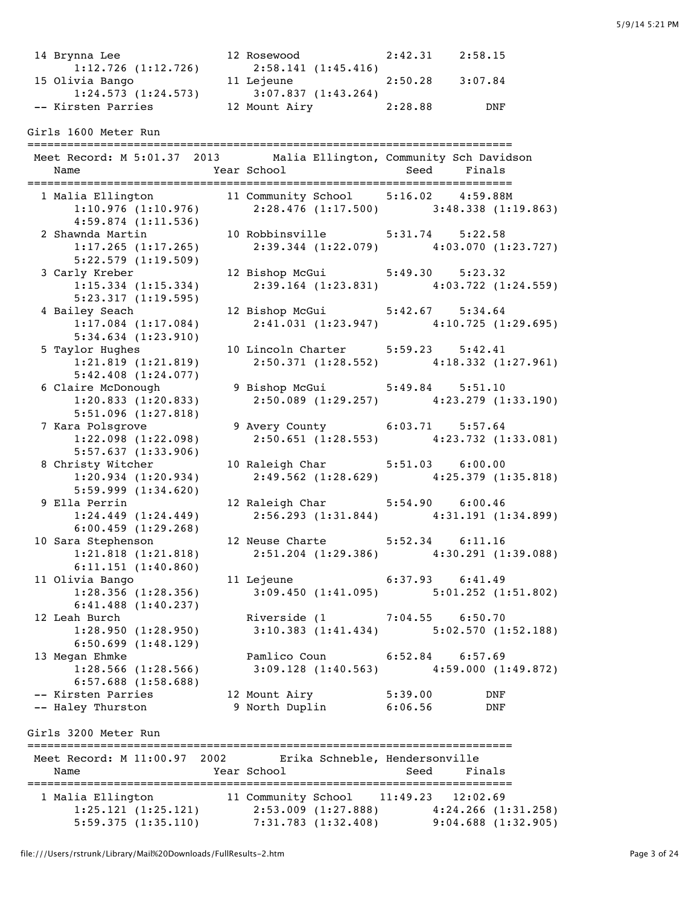| 14 Brynna Lee<br>$1:12.726$ $(1:12.726)$<br>15 Olivia Bango<br>-- Kirsten Parries                   | 12 Rosewood 2:42.31 2:58.15<br>2:58.141(1:45.416)<br>11 Lejeune<br>1:24.573 (1:24.573) 3:07.837 (1:43.264)<br>Sten Parries 12 Mount Airy 2:28.88 DNF | 2:50.28 3:07.84                                                                                                       |
|-----------------------------------------------------------------------------------------------------|------------------------------------------------------------------------------------------------------------------------------------------------------|-----------------------------------------------------------------------------------------------------------------------|
| Girls 1600 Meter Run                                                                                |                                                                                                                                                      |                                                                                                                       |
|                                                                                                     |                                                                                                                                                      | Meet Record: M 5:01.37 2013 Malia Ellington, Community Sch Davidson                                                   |
| 4:59.874(1:11.536)                                                                                  |                                                                                                                                                      | 1 Malia Ellington 11 Community School 5:16.02 4:59.88M<br>1:10.976 (1:10.976) 2:28.476 (1:17.500) 3:48.338 (1:19.863) |
| 2 Shawnda Martin<br>1:17.265(1:17.265)<br>$5:22.579$ $(1:19.509)$                                   | 10 Robbinsville 5:31.74 5:22.58                                                                                                                      | $2:39.344$ $(1:22.079)$ $4:03.070$ $(1:23.727)$                                                                       |
| 3 Carly Kreber<br>$1:15.334$ $(1:15.334)$<br>5:23.317(1:19.595)                                     | 12 Bishop McGui 5:49.30 5:23.32                                                                                                                      | $2:39.164$ (1:23.831) $4:03.722$ (1:24.559)                                                                           |
| 4 Bailey Seach<br>$1:17.084$ $(1:17.084)$<br>5:34.634(1:23.910)                                     | 12 Bishop McGui 5:42.67 5:34.64                                                                                                                      | 2:41.031 (1:23.947) 4:10.725 (1:29.695)                                                                               |
| 5 Taylor Hughes<br>1:21.819(1:21.819)<br>5:42.408(1:24.077)                                         | 10 Lincoln Charter 5:59.23 5:42.41                                                                                                                   | $2:50.371(1:28.552)$ $4:18.332(1:27.961)$                                                                             |
| 6 Claire McDonough<br>1:20.833(1:20.833)<br>5:51.096(1:27.818)                                      |                                                                                                                                                      | 9 Bishop McGui 5:49.84 5:51.10<br>$2:50.089$ (1:29.257) $4:23.279$ (1:33.190)                                         |
| 7 Kara Polsgrove<br>1:22.098(1:22.098)<br>5:57.637(1:33.906)                                        | 9 Avery County 6:03.71 5:57.64                                                                                                                       | $2:50.651$ (1:28.553) $4:23.732$ (1:33.081)                                                                           |
| 8 Christy Witcher<br>1:20.934(1:20.934)<br>$5:59.999$ $(1:34.620)$                                  | 10 Raleigh Char 5:51.03 6:00.00                                                                                                                      | $2:49.562$ (1:28.629) $4:25.379$ (1:35.818)                                                                           |
| 9 Ella Perrin<br>1:24.449(1:24.449)<br>6:00.459(1:29.268)                                           | 12 Raleigh Char 5:54.90 6:00.46                                                                                                                      | $2:56.293$ (1:31.844) 4:31.191 (1:34.899)                                                                             |
| 10 Sara Stephenson 12 Neuse Charte 5:52.34 6:11.16<br>$1:21.818$ $(1:21.818)$<br>6:11.151(1:40.860) |                                                                                                                                                      | $2:51.204$ (1:29.386) $4:30.291$ (1:39.088)                                                                           |
| 11 Olivia Bango<br>$1:28.356$ $(1:28.356)$<br>$6:41.488$ $(1:40.237)$                               | 11 Lejeune 6:37.93 6:41.49                                                                                                                           | $3:09.450$ (1:41.095) $5:01.252$ (1:51.802)                                                                           |
| 12 Leah Burch<br>1:28.950(1:28.950)<br>$6:50.699$ $(1:48.129)$                                      | Riverside (1 7:04.55 6:50.70                                                                                                                         | $3:10.383$ $(1:41.434)$ $5:02.570$ $(1:52.188)$                                                                       |
| 13 Megan Ehmke<br>$1:28.566$ $(1:28.566)$<br>$6:57.688$ $(1:58.688)$                                | Pamlico Coun 6:52.84 6:57.69                                                                                                                         | $3:09.128$ (1:40.563) 4:59.000 (1:49.872)                                                                             |
| -- Kirsten Parries<br>-- Haley Thurston                                                             | 12 Mount Airy<br>9 North Duplin                                                                                                                      | 5:39.00<br>DNF<br>6:06.56<br>DNF                                                                                      |
| Girls 3200 Meter Run                                                                                |                                                                                                                                                      |                                                                                                                       |
| Meet Record: M 11:00.97 2002<br>Name                                                                | Erika Schneble, Hendersonville<br>Year School                                                                                                        | Seed<br>Finals                                                                                                        |
| 1 Malia Ellington<br>1:25.121(1:25.121)<br>5:59.375(1:35.110)                                       | 11 Community School 11:49.23 12:02.69                                                                                                                | 2:53.009 (1:27.888) 4:24.266 (1:31.258)<br>$7:31.783$ (1:32.408) 9:04.688 (1:32.905)                                  |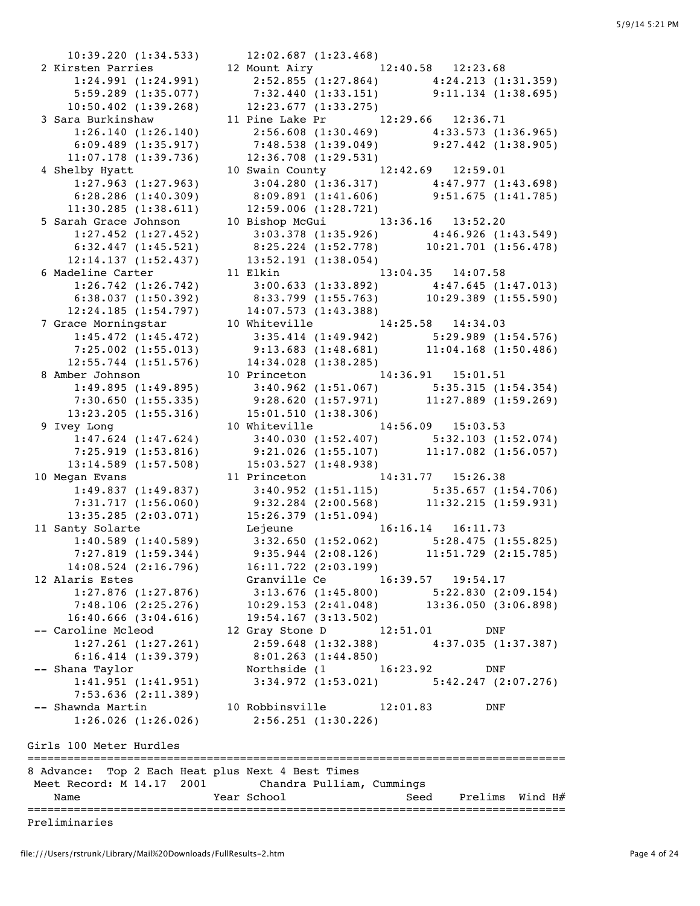10:39.220 (1:34.533) 12:02.687 (1:23.468) 2 Kirsten Parries 12 Mount Airy 12:40.58 12:23.68 1:24.991 (1:24.991) 2:52.855 (1:27.864) 4:24.213 (1:31.359) 5:59.289 (1:35.077) 7:32.440 (1:33.151) 9:11.134 (1:38.695) 10:50.402 (1:39.268) 12:23.677 (1:33.275) 3 Sara Burkinshaw 11 Pine Lake Pr 12:29.66 12:36.71 1:26.140 (1:26.140) 2:56.608 (1:30.469) 4:33.573 (1:36.965) 6:09.489 (1:35.917) 7:48.538 (1:39.049) 9:27.442 (1:38.905) 11:07.178 (1:39.736) 12:36.708 (1:29.531) 4 Shelby Hyatt 10 Swain County 12:42.69 12:59.01 1:27.963 (1:27.963) 3:04.280 (1:36.317) 4:47.977 (1:43.698) 6:28.286 (1:40.309) 8:09.891 (1:41.606) 9:51.675 (1:41.785) 11:30.285 (1:38.611) 12:59.006 (1:28.721) 5 Sarah Grace Johnson 10 Bishop McGui 13:36.16 13:52.20 1:27.452 (1:27.452) 3:03.378 (1:35.926) 4:46.926 (1:43.549) 6:32.447 (1:45.521) 8:25.224 (1:52.778) 10:21.701 (1:56.478) 1:27.452 (1:27.452)<br>
5:32.447 (1:45.521)<br>
12:14.137 (1:52.437)<br>
5.12:14.137 (1:52.437)<br>
13:52.191 (1:38.054)<br>
13:04.35 14:07.58 11 Elkin 13:04.35 14:07.58 1:26.742 (1:26.742) 3:00.633 (1:33.892) 4:47.645 (1:47.013) 6:38.037 (1:50.392) 8:33.799 (1:55.763) 10:29.389 (1:55.590) 12:24.185 (1:54.797) 14:07.573 (1:43.388) 7 Grace Morningstar 10 Whiteville 14:25.58 14:34.03 1:45.472 (1:45.472) 3:35.414 (1:49.942) 5:29.989 (1:54.576) 7:25.002 (1:55.013) 9:13.683 (1:48.681) 11:04.168 (1:50.486) 12:55.744 (1:51.576) 14:34.028 (1:38.285) 8 Amber Johnson 10 Princeton 14:36.91 15:01.51 1:49.895 (1:49.895) 3:40.962 (1:51.067) 5:35.315 (1:54.354) 7:30.650 (1:55.335) 9:28.620 (1:57.971) 11:27.889 (1:59.269)<br>13:23.205 (1:55.316) 15:01.510 (1:38.306)<br>vey Long 10 Whiteville 14:56.09 15:03.53 13:23.205 (1:55.316) 15:01.510 (1:38.306) 9 Ivey Long 10 Whiteville 14:56.09 15:03.53 1:47.624 (1:47.624) 3:40.030 (1:52.407) 5:32.103 (1:52.074) 7:25.919 (1:53.816) 9:21.026 (1:55.107) 11:17.082 (1:56.057) 13:14.589 (1:57.508) 15:03.527 (1:48.938) 10 Megan Evans 11 Princeton 14:31.77 15:26.38 1:49.837 (1:49.837) 3:40.952 (1:51.115) 5:35.657 (1:54.706) 7:31.717 (1:56.060) 9:32.284 (2:00.568) 11:32.215 (1:59.931) 13:35.285 (2:03.071) 15:26.379 (1:51.094) 11 Santy Solarte Lejeune 16:16.14 16:11.73 1:40.589 (1:40.589) 3:32.650 (1:52.062) 5:28.475 (1:55.825) 7:27.819 (1:59.344) 9:35.944 (2:08.126) 11:51.729 (2:15.785) 14:08.524 (2:16.796) 16:11.722 (2:03.199) 12 Alaris Estes Granville Ce 16:39.57 19:54.17 1:27.876 (1:27.876) 3:13.676 (1:45.800) 5:22.830 (2:09.154) 7:48.106 (2:25.276) 10:29.153 (2:41.048) 13:36.050 (3:06.898) 16:40.666 (3:04.616) 19:54.167 (3:13.502) -- Caroline Mcleod 12 Gray Stone D 12:51.01 DNF 1:27.261 (1:27.261) 2:59.648 (1:32.388) 4:37.035 (1:37.387) 6:16.414 (1:39.379) 8:01.263 (1:44.850) -- Shana Taylor Northside (1 16:23.92 DNF 1:41.951 (1:41.951) 3:34.972 (1:53.021) 5:42.247 (2:07.276) 7:53.636 (2:11.389) -- Shawnda Martin 10 Robbinsville 12:01.83 DNF 1:26.026 (1:26.026) 2:56.251 (1:30.226) Girls 100 Meter Hurdles ================================================================================= 8 Advance: Top 2 Each Heat plus Next 4 Best Times Meet Record: M 14.17 2001 Chandra Pulliam, Cummings

 Name Year School Seed Prelims Wind H# =================================================================================

Preliminaries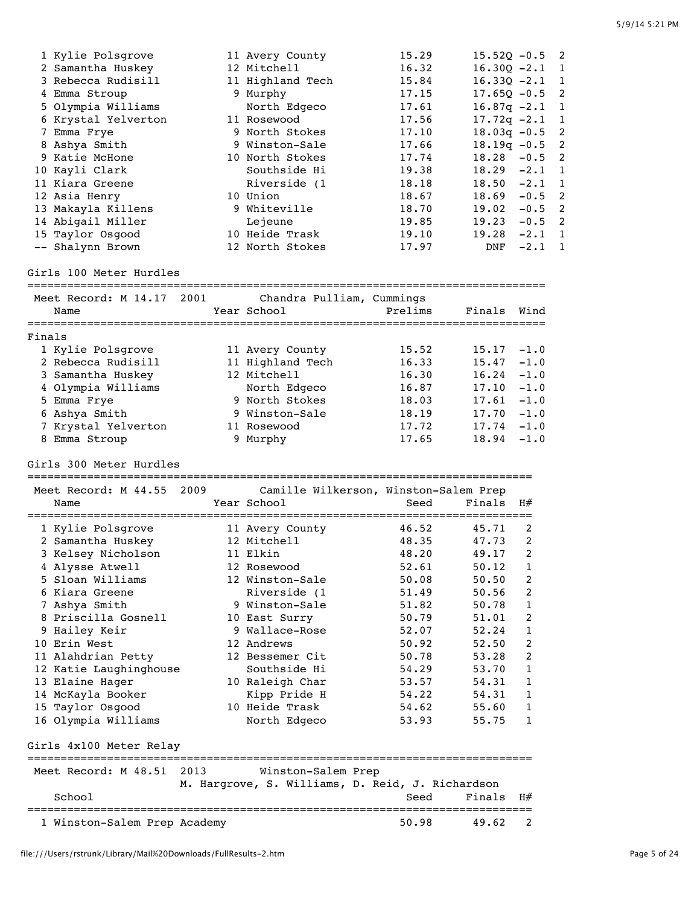| 1 Kylie Polsgrove                                       |      | 11 Avery County           | 15.29                                            | $15.52Q - 0.5$ |                | 2              |
|---------------------------------------------------------|------|---------------------------|--------------------------------------------------|----------------|----------------|----------------|
| 2 Samantha Huskey                                       |      | 12 Mitchell               | 16.32                                            | $16.30Q -2.1$  |                | 1              |
| 3 Rebecca Rudisill                                      |      | 11 Highland Tech          | 15.84                                            | $16.330 - 2.1$ |                | $\mathbf{1}$   |
| 4 Emma Stroup                                           |      | 9 Murphy                  | 17.15                                            | $17.65Q - 0.5$ |                | 2              |
| 5 Olympia Williams                                      |      | North Edgeco              | 17.61                                            | $16.87q -2.1$  |                | 1              |
| 6 Krystal Yelverton                                     |      | 11 Rosewood               | 17.56                                            | $17.72q -2.1$  |                | $\mathbf 1$    |
| 7 Emma Frye                                             |      | 9 North Stokes            | 17.10                                            | $18.03q - 0.5$ |                | 2              |
| 8 Ashya Smith                                           |      | 9 Winston-Sale            | 17.66                                            | $18.19q - 0.5$ |                | 2              |
| 9 Katie McHone                                          |      | 10 North Stokes           | 17.74                                            | 18.28          | $-0.5$         | $\overline{2}$ |
| 10 Kayli Clark                                          |      | Southside Hi              | 19.38                                            | 18.29          | $-2.1$         | 1              |
|                                                         |      |                           |                                                  |                |                |                |
| 11 Kiara Greene                                         |      | Riverside (1              | 18.18                                            | 18.50          | $-2.1$         | 1              |
| 12 Asia Henry                                           |      | 10 Union                  | 18.67                                            | 18.69          | $-0.5$         | 2              |
| 13 Makayla Killens                                      |      | 9 Whiteville              | 18.70                                            | 19.02          | $-0.5$         | 2              |
| 14 Abigail Miller                                       |      | Lejeune                   | 19.85                                            | 19.23          | $-0.5$         | 2              |
| 15 Taylor Osgood                                        |      | 10 Heide Trask            | 19.10                                            | 19.28          | $-2.1$         | 1              |
| -- Shalynn Brown                                        |      | 12 North Stokes           | 17.97                                            | DNF            | $-2.1$         | 1              |
| Girls 100 Meter Hurdles                                 |      |                           |                                                  |                |                |                |
| Meet Record: M 14.17                                    | 2001 | Chandra Pulliam, Cummings |                                                  |                |                |                |
| Name                                                    |      | Year School               | Prelims                                          | Finals         | Wind           |                |
|                                                         |      |                           |                                                  |                |                |                |
| Finals                                                  |      |                           |                                                  |                |                |                |
| 1 Kylie Polsgrove                                       |      | 11 Avery County           | 15.52                                            | 15.17          | $-1.0$         |                |
| 2 Rebecca Rudisill                                      |      | 11 Highland Tech          | 16.33                                            | 15.47          | $-1.0$         |                |
| 3 Samantha Huskey                                       |      | 12 Mitchell               | 16.30                                            | 16.24          | $-1.0$         |                |
| 4 Olympia Williams                                      |      | North Edgeco              | 16.87                                            | 17.10          | $-1.0$         |                |
| 5 Emma Frye                                             |      | 9 North Stokes            | 18.03                                            | 17.61          | $-1.0$         |                |
| 6 Ashya Smith                                           |      | 9 Winston-Sale            | 18.19                                            | 17.70          | $-1.0$         |                |
| 7 Krystal Yelverton                                     |      | 11 Rosewood               | 17.72                                            | 17.74          | $-1.0$         |                |
| 8 Emma Stroup                                           |      | 9 Murphy                  | 17.65                                            | 18.94          | $-1.0$         |                |
| Girls 300 Meter Hurdles                                 |      |                           |                                                  |                |                |                |
| ===============================<br>Meet Record: M 44.55 | 2009 |                           | ==========================                       |                |                |                |
| Name                                                    |      | Year School               | Camille Wilkerson, Winston-Salem Prep<br>Seed    | Finals         | H#             |                |
|                                                         |      |                           |                                                  |                |                |                |
| 1 Kylie Polsgrove                                       |      | 11 Avery County           | 46.52                                            | 45.71          | 2              |                |
| 2 Samantha Huskey                                       |      | 12 Mitchell               | 48.35                                            | 47.73          | 2              |                |
| 3 Kelsey Nicholson                                      |      | 11 Elkin                  | 48.20                                            | 49.17          | 2              |                |
| 4 Alysse Atwell                                         |      | 12 Rosewood               | 52.61                                            | 50.12          | $\mathbf{1}$   |                |
| 5 Sloan Williams                                        |      | 12 Winston-Sale           | 50.08                                            | 50.50          | 2              |                |
| 6 Kiara Greene                                          |      | Riverside (1              | 51.49                                            | 50.56          | 2              |                |
| 7 Ashya Smith                                           |      | 9 Winston-Sale            | 51.82                                            | 50.78          | 1              |                |
| 8 Priscilla Gosnell                                     |      | 10 East Surry             | 50.79                                            | 51.01          | 2              |                |
| 9 Hailey Keir                                           |      | 9 Wallace-Rose            | 52.07                                            | 52.24          | 1              |                |
| 10 Erin West                                            |      | 12 Andrews                | 50.92                                            | 52.50          | $\overline{2}$ |                |
|                                                         |      |                           |                                                  |                |                |                |
| 11 Alahdrian Petty                                      |      | 12 Bessemer Cit           | 50.78                                            | 53.28          | 2              |                |
| 12 Katie Laughinghouse                                  |      | Southside Hi              | 54.29                                            | 53.70          | 1              |                |
| 13 Elaine Hager                                         |      | 10 Raleigh Char           | 53.57                                            | 54.31          | 1              |                |
| 14 McKayla Booker                                       |      | Kipp Pride H              | 54.22                                            | 54.31          | 1              |                |
| 15 Taylor Osgood                                        |      | 10 Heide Trask            | 54.62                                            | 55.60          | 1              |                |
| 16 Olympia Williams                                     |      | North Edgeco              | 53.93                                            | 55.75          | 1              |                |
| Girls 4x100 Meter Relay                                 |      |                           |                                                  |                |                |                |
| Meet Record: M 48.51                                    | 2013 | Winston-Salem Prep        | ===============================                  |                |                |                |
|                                                         |      |                           | M. Hargrove, S. Williams, D. Reid, J. Richardson |                |                |                |
| School                                                  |      |                           | Seed                                             | Finals         | H#             |                |
| 1 Winston-Salem Prep Academy                            |      |                           | 50.98                                            | 49.62          | 2              |                |
|                                                         |      |                           |                                                  |                |                |                |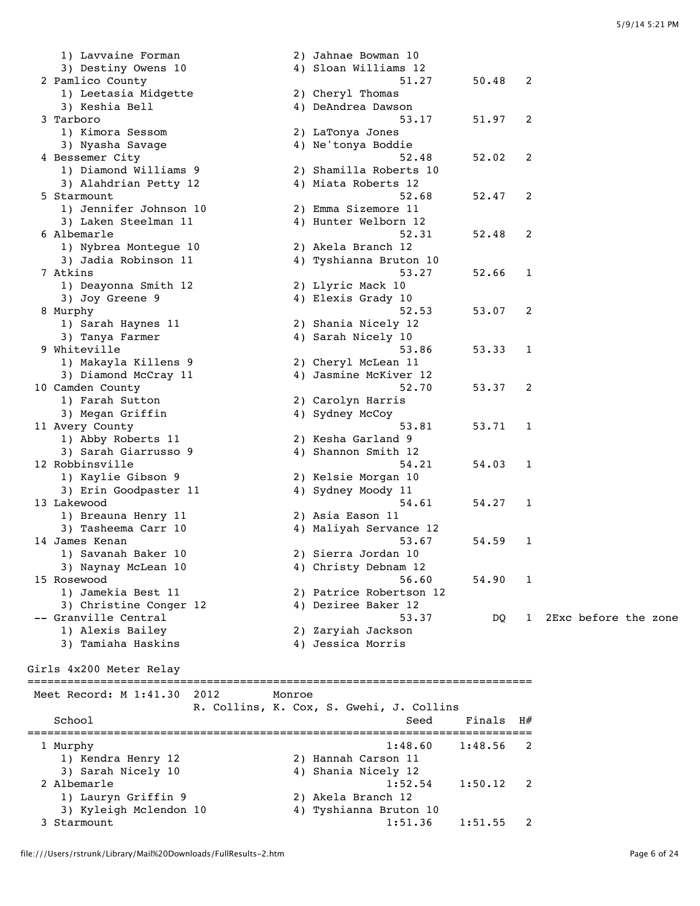3) Destiny Owens 10 4) Sloan Williams 12 2 Pamlico County 51.27 50.48 2 1) Leetasia Midgette 2) Cheryl Thomas 3) Keshia Bell 4) DeAndrea Dawson 3 Tarboro 53.17 51.97 2 1) Kimora Sessom 2) LaTonya Jones ة Savage Conya Soldie 4) Ne'tonya Boddie<br>4) Ne'tonya Boddie 4 Bessemer City 52.48 52.02 2 1) Diamond Williams 9 2) Shamilla Roberts 10 3) Alahdrian Petty 12 (4) Miata Roberts 12 5 Starmount 52.68 52.47 2 1) Jennifer Johnson 10 2) Emma Sizemore 11 3) Laken Steelman 11 4) Hunter Welborn 12 6 Albemarle 52.31 52.48 2 1) Nybrea Montegue 10 2) Akela Branch 12 3) Jadia Robinson 11 4) Tyshianna Bruton 10 7 Atkins 53.27 52.66 1 1) Deayonna Smith 12 2) Llyric Mack 10 3) Joy Greene 9 20 20 20 4) Elexis Grady 10 8 Murphy 52.53 53.07 2 1) Sarah Haynes 11 2) Shania Nicely 12 3) Tanya Farmer (1988) 4 Sarah Nicely 10 9 Whiteville 53.86 53.33 1 1) Makayla Killens 9 2) Cheryl McLean 11 3) Diamond McCray 11 4) Jasmine McKiver 12 10 Camden County 52.70 53.37 2 1) Farah Sutton 2) Carolyn Harris 3) Megan Griffin 4) Sydney McCoy 11 Avery County 53.81 53.71 1 1) Abby Roberts 11 2) Kesha Garland 9 3) Sarah Giarrusso 9 1988 - 4 4 Shannon Smith 12 12 Robbinsville 54.21 54.03 1 1) Kaylie Gibson 9 2) Kelsie Morgan 10 3) Erin Goodpaster 11 4) Sydney Moody 11 13 Lakewood 54.61 54.27 1 1) Breauna Henry 11 2) Asia Eason 11 3) Tasheema Carr 10 4) Maliyah Servance 12 14 James Kenan 53.67 54.59 1 1) Savanah Baker 10 2) Sierra Jordan 10 3) Naynay McLean 10 4) Christy Debnam 12 15 Rosewood 56.60 54.90 1 1) Jamekia Best 11 2) Patrice Robertson 12 3) Christine Conger 12  $\hskip1cm$  4) Deziree Baker 12 -- Granville Central 53.37 DQ 1 2Exc before the zone 1) Alexis Bailey 2) Zaryiah Jackson 3) Tamiaha Haskins 4) Jessica Morris Girls 4x200 Meter Relay ============================================================================ Meet Record: M 1:41.30 2012 Monroe R. Collins, K. Cox, S. Gwehi, J. Collins School School Seed Finals H# ============================================================================ 1 Murphy 1:48.60 1:48.56 2 1) Kendra Henry 12 2) Hannah Carson 11 3) Sarah Nicely 10 4) Shania Nicely 12 2 Albemarle 1:52.54 1:50.12 2 1) Lauryn Griffin 9 2) Akela Branch 12 3) Kyleigh Mclendon 10 4) Tyshianna Bruton 10 3 Starmount 1:51.36 1:51.55 2

1) Lavvaine Forman 2) Jahnae Bowman 10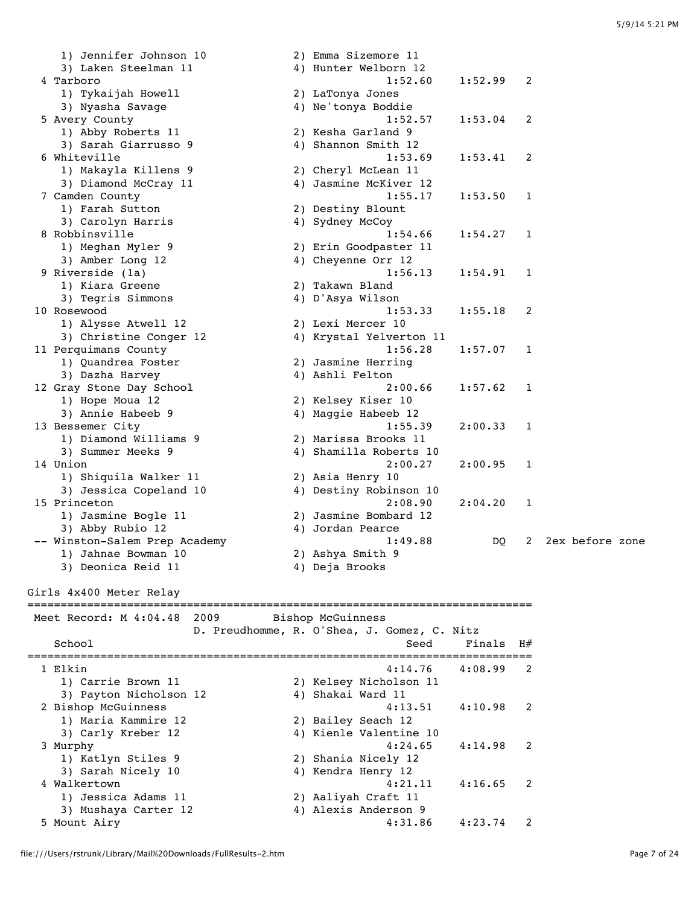1) Jennifer Johnson 10 2) Emma Sizemore 11 3) Laken Steelman 11 4) Hunter Welborn 12 4 Tarboro 1:52.60 1:52.99 2 1) Tykaijah Howell 2) LaTonya Jones 3) Nyasha Savage 4) Ne'tonya Boddie 5 Avery County<br>
1:52.57 1:53.04 2<br>
3) Sarah Giarrusse 0<br>
3) Sarah Giarrusse 0 1) Abby Roberts 11 2) Kesha Garland 9 3) Sarah Giarrusso 9 1988 - 4 4 Shannon Smith 12 6 Whiteville 1:53.69 1:53.41 2 1) Makayla Killens 9 2) Cheryl McLean 11 3) Diamond McCray 11 4) Jasmine McKiver 12 7 Camden County 1:55.17 1:53.50 1 1) Farah Sutton 2) Destiny Blount 3) Carolyn Harris 4) Sydney McCoy 8 Robbinsville 2.1:54.66 1:54.27 1 1) Meghan Myler 9 2) Erin Goodpaster 11 3) Amber Long 12 4) Cheyenne Orr 12 9 Riverside (1a) 1:56.13 1:54.91 1 1) Kiara Greene 2) Takawn Bland 3) Tegris Simmons 4) D'Asya Wilson 10 Rosewood 1:53.33 1:55.18 2 1) Alysse Atwell 12 2) Lexi Mercer 10 3) Christine Conger 12 4) Krystal Yelverton 11 11 Perquimans County 1:56.28 1:57.07 1 1) Quandrea Foster 2) Jasmine Herring 3) Dazha Harvey 4) Ashli Felton 12 Gray Stone Day School 2:00.66 1:57.62 1 1) Hope Moua 12 2) Kelsey Kiser 10 3) Annie Habeeb 9 4) Maggie Habeeb 12 13 Bessemer City 1:55.39 2:00.33 1 1) Diamond Williams 9 2) Marissa Brooks 11 3) Summer Meeks 9 4) Shamilla Roberts 10 14 Union 2:00.27 2:00.95 1 1) Shiquila Walker 11 2) Asia Henry 10 3) Jessica Copeland 10 4) Destiny Robinson 10 15 Princeton 2:08.90 2:04.20 1 1) Jasmine Bogle 11 2) Jasmine Bombard 12 3) Abby Rubio 12 (4) Jordan Pearce -- Winston-Salem Prep Academy 1:49.88 DQ 2 2ex before zone 1) Jahnae Bowman 10 2) Ashya Smith 9 3) Deonica Reid 11 4) Deja Brooks Girls 4x400 Meter Relay ============================================================================ Meet Record: M 4:04.48 2009 Bishop McGuinness D. Preudhomme, R. O'Shea, J. Gomez, C. Nitz School School Seed Finals H# ============================================================================ 1 Elkin 4:14.76 4:08.99 2 1) Carrie Brown 11 2) Kelsey Nicholson 11 3) Payton Nicholson 12 4) Shakai Ward 11 2 Bishop McGuinness 4:13.51 4:10.98 2 1) Maria Kammire 12 2) Bailey Seach 12 3) Carly Kreber 12 4) Kienle Valentine 10 3 Murphy 4:24.65 4:14.98 2 1) Katlyn Stiles 9 2) Shania Nicely 12 3) Sarah Nicely 10 4) Kendra Henry 12 4 Walkertown 4:21.11 4:16.65 2 1) Jessica Adams 11 2) Aaliyah Craft 11 3) Mushaya Carter 12 4) Alexis Anderson 9 5 Mount Airy 4:31.86 4:23.74 2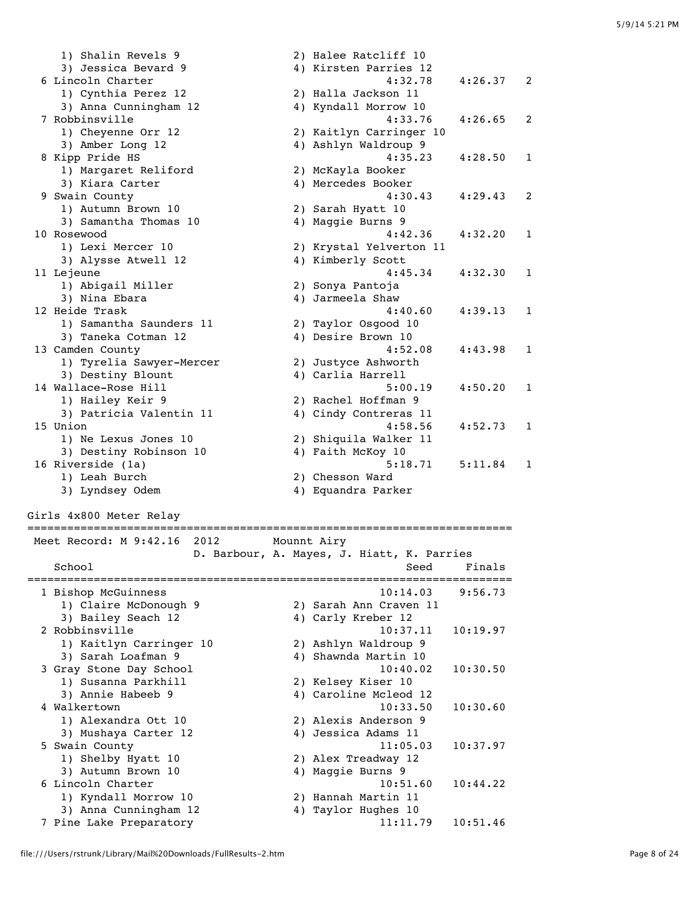| 1) Shalin Revels 9       | 2) Halee Ratcliff 10    |         |                |
|--------------------------|-------------------------|---------|----------------|
| 3) Jessica Bevard 9      | 4) Kirsten Parries 12   |         |                |
| 6 Lincoln Charter        | 4:32.78                 | 4:26.37 | 2              |
| 1) Cynthia Perez 12      | 2) Halla Jackson 11     |         |                |
| 3) Anna Cunningham 12    | 4) Kyndall Morrow 10    |         |                |
| 7 Robbinsville           | 4:33.76                 | 4:26.65 | $\mathfrak{D}$ |
| 1) Cheyenne Orr 12       | 2) Kaitlyn Carringer 10 |         |                |
| 3) Amber Long 12         | 4) Ashlyn Waldroup 9    |         |                |
| 8 Kipp Pride HS          | 4:35.23                 | 4:28.50 | $\mathbf{1}$   |
| 1) Margaret Reliford     | 2) McKayla Booker       |         |                |
| 3) Kiara Carter          | 4) Mercedes Booker      |         |                |
| 9 Swain County           | 4:30.43                 | 4:29.43 | 2              |
| 1) Autumn Brown 10       | 2) Sarah Hyatt 10       |         |                |
| 3) Samantha Thomas 10    | 4) Maggie Burns 9       |         |                |
| 10 Rosewood              | 4:42.36                 | 4:32.20 | $\mathbf{1}$   |
| 1) Lexi Mercer 10        | 2) Krystal Yelverton 11 |         |                |
| 3) Alysse Atwell 12      | 4) Kimberly Scott       |         |                |
| 11 Lejeune               | 4:45.34                 | 4:32.30 | $\mathbf{1}$   |
| 1) Abigail Miller        | 2) Sonya Pantoja        |         |                |
| 3) Nina Ebara            | 4) Jarmeela Shaw        |         |                |
| 12 Heide Trask           | 4:40.60                 | 4:39.13 | $\mathbf{1}$   |
| 1) Samantha Saunders 11  | 2) Taylor Osgood 10     |         |                |
| 3) Taneka Cotman 12      | 4) Desire Brown 10      |         |                |
| 13 Camden County         | 4:52.08                 | 4:43.98 | $\mathbf{1}$   |
| 1) Tyrelia Sawyer-Mercer | 2) Justyce Ashworth     |         |                |
| 3) Destiny Blount        | 4) Carlia Harrell       |         |                |
| 14 Wallace-Rose Hill     | 5:00.19                 | 4:50.20 | $\mathbf{1}$   |
| 1) Hailey Keir 9         | 2) Rachel Hoffman 9     |         |                |
| 3) Patricia Valentin 11  | 4) Cindy Contreras 11   |         |                |
| 15 Union                 | 4:58.56                 | 4:52.73 | 1              |
| 1) Ne Lexus Jones 10     | 2) Shiquila Walker 11   |         |                |
| 3) Destiny Robinson 10   | 4) Faith McKoy 10       |         |                |
| 16 Riverside (1a)        | 5:18.71                 | 5:11.84 | 1              |
| 1) Leah Burch            | 2) Chesson Ward         |         |                |
| 3) Lyndsey Odem          | 4) Equandra Parker      |         |                |

```
Girls 4x800 Meter Relay
```
========================================================================= Meet Record: M 9:42.16 2012 Mounnt Airy D. Barbour, A. Mayes, J. Hiatt, K. Parries School Seed Finals ========================================================================= 1 Bishop McGuinness 10:14.03 9:56.73<br>1) Claire McDonough 9 2) Sarah Ann Craven 11 2) Sarah Ann Craven 11 3) Bailey Seach 12 4) Carly Kreber 12<br>2 Robbinsville 10:37. 10:37.11 10:19.97 1) Kaitlyn Carringer 10 2) Ashlyn Waldroup 9 3) Sarah Loafman 9 4) Shawnda Martin 10 3 Gray Stone Day School 10:40.02 10:30.50<br>1) Susanna Parkhill 2) Kelsey Kiser 10 1) Susanna Parkhill 2) Kelsey Kiser 10 3) Annie Habeeb 9 4) Caroline Mcleod 12 4 Walkertown 10:33.50 10:30.60 1) Alexandra Ott 10 2) Alexis Anderson 9 3) Mushaya Carter 12 4) Jessica Adams 11 5 Swain County 11:05.03 10:37.97 1) Shelby Hyatt 10 2) Alex Treadway 12 3) Autumn Brown 10 4) Maggie Burns 9 6 Lincoln Charter 10:51.60 10:44.22 1) Kyndall Morrow 10 2) Hannah Martin 11 3) Anna Cunningham 12 4) Taylor Hughes 10 7 Pine Lake Preparatory 11:11.79 10:51.46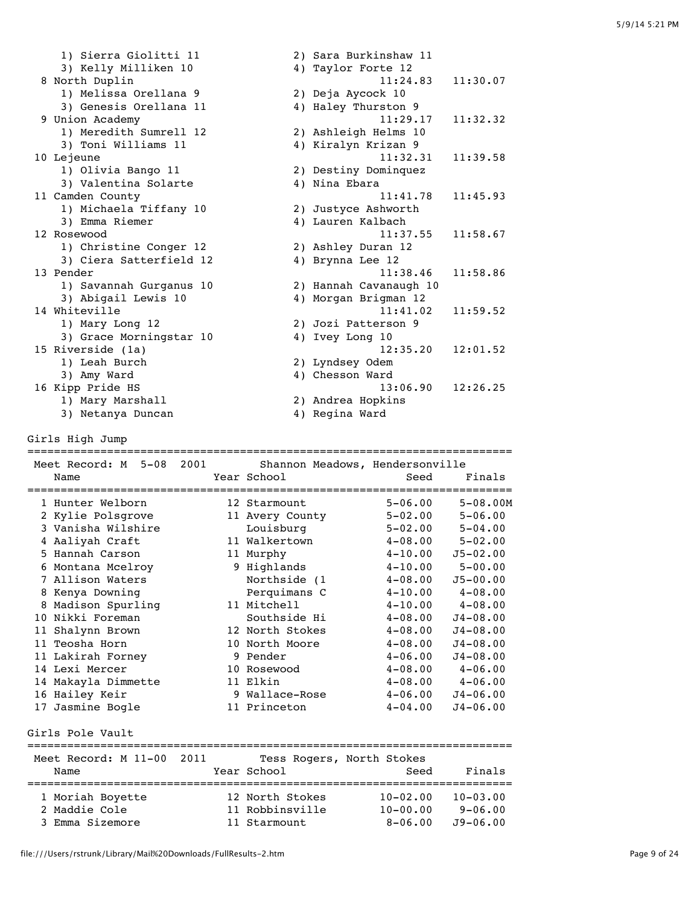1) Sierra Giolitti 11 2) Sara Burkinshaw 11 3) Kelly Milliken 10 <a>4) Taylor Forte 12 8 North Duplin 11:24.83 11:30.07 1) Melissa Orellana 9 2) Deja Aycock 10 3) Genesis Orellana 11  $\hskip1cm$  4) Haley Thurston 9 9 Union Academy 11:29.17 11:32.32 1) Meredith Sumrell 12 2) Ashleigh Helms 10 3) Toni Williams 11  $\hskip1cm$  4) Kiralyn Krizan 9 10 Lejeune 11:32.31 11:39.58 1) Olivia Bango 11 2) Destiny Dominquez 3) Valentina Solarte 4) Nina Ebara 11 Camden County 11:41.78 11:45.93 1) Michaela Tiffany 10 2) Justyce Ashworth 3) Emma Riemer 4) Lauren Kalbach 12 Rosewood 11:37.55 11:58.67 1) Christine Conger 12 2) Ashley Duran 12 3) Ciera Satterfield 12 4) Brynna Lee 12 13 Pender 11:58.86 and 11:58.86 and 11:58.86 and 11:58.86 and 11:58.86 and 11:58.86 and 11:58.86 and 11:58.86  $\overline{a}$  1) Savannah Gurganus 10 2) Hannah Cavanaugh 10 3) Abigail Lewis 10 4) Morgan Brigman 12 14 Whiteville 2013 11:41.02 11:59.52 1) Mary Long 12 2) Jozi Patterson 9 3) Grace Morningstar 10 and 4) Ivey Long 10 15 Riverside (1a) 12:35.20 12:01.52 1) Leah Burch 2) Lyndsey Odem 3) Amy Ward 4) Chesson Ward 16 Kipp Pride HS 13:06.90 12:26.25 1) Mary Marshall 2) Andrea Hopkins 3) Netanya Duncan 4) Regina Ward

Girls High Jump

| Meet Record: M 5-08 2001                          | Shannon Meadows, Hendersonville | ======================= |                     |
|---------------------------------------------------|---------------------------------|-------------------------|---------------------|
| Name                                              | Year School                     | Seed                    | Finals              |
| 1 Hunter Welborn                                  | 12 Starmount                    | $5 - 06.00$             | $5 - 08.00M$        |
| 2 Kylie Polsgrove                                 | 11 Avery County                 | $5 - 02.00$             | $5 - 06.00$         |
| 3 Vanisha Wilshire                                | Louisburg                       | $5 - 02.00$             | $5 - 04.00$         |
| 4 Aaliyah Craft                                   | 11 Walkertown                   | $4 - 08$ , 00           | $5 - 02.00$         |
| 5 Hannah Carson                                   | 11 Murphy                       | $4 - 10.00$             | $J5 - 02.00$        |
| 6 Montana Mcelroy                                 | 9 Highlands                     | $4 - 10.00$             | $5 - 00.00$         |
| 7 Allison Waters                                  | Northside (1                    | $4 - 08.00$             | $J5 - 00.00$        |
| Kenya Downing                                     | Perquimans C                    | $4 - 10.00$             | $4 - 08.00$         |
| Madison Spurling<br>8                             | 11 Mitchell                     | $4 - 10.00$             | $4 - 08.00$         |
| 10 Nikki Foreman                                  | Southside Hi                    | $4 - 08.00$             | $J4 - 08.00$        |
| 11 Shalynn Brown                                  | 12 North Stokes                 | $4 - 08.00$             | $J4 - 08.00$        |
| 11 Teosha Horn                                    | 10 North Moore                  | $4 - 08.00$             | $J4 - 08.00$        |
| 11 Lakirah Forney                                 | 9 Pender                        | $4 - 06.00$             | $J4 - 08.00$        |
| 14 Lexi Mercer                                    | 10 Rosewood                     |                         | $4-08.00$ $4-06.00$ |
| 14 Makayla Dimmette                               | 11 Elkin                        |                         | $4-08.00$ $4-06.00$ |
| 16 Hailey Keir                                    | 9 Wallace-Rose                  | $4 - 06.00$             | $J4 - 06.00$        |
| 17 Jasmine Bogle                                  | 11 Princeton                    | $4 - 04.00$             | $J4 - 06.00$        |
|                                                   |                                 |                         |                     |
| Girls Pole Vault<br>============================= |                                 | ======================= |                     |
| Meet Record: M 11-00 2011                         | Tess Rogers, North Stokes       |                         |                     |
| Name                                              | Year School                     | Seed                    | Finals              |
|                                                   |                                 |                         |                     |
| 1 Moriah Boyette                                  | 12 North Stokes                 | $10 - 02.00$            | $10 - 03.00$        |
| 2 Maddie Cole                                     | 11 Robbinsville                 | $10 - 00.00$            | $9 - 06.00$         |
| 3 Emma Sizemore                                   | 11 Starmount                    | $8 - 06.00$             | $J9 - 06.00$        |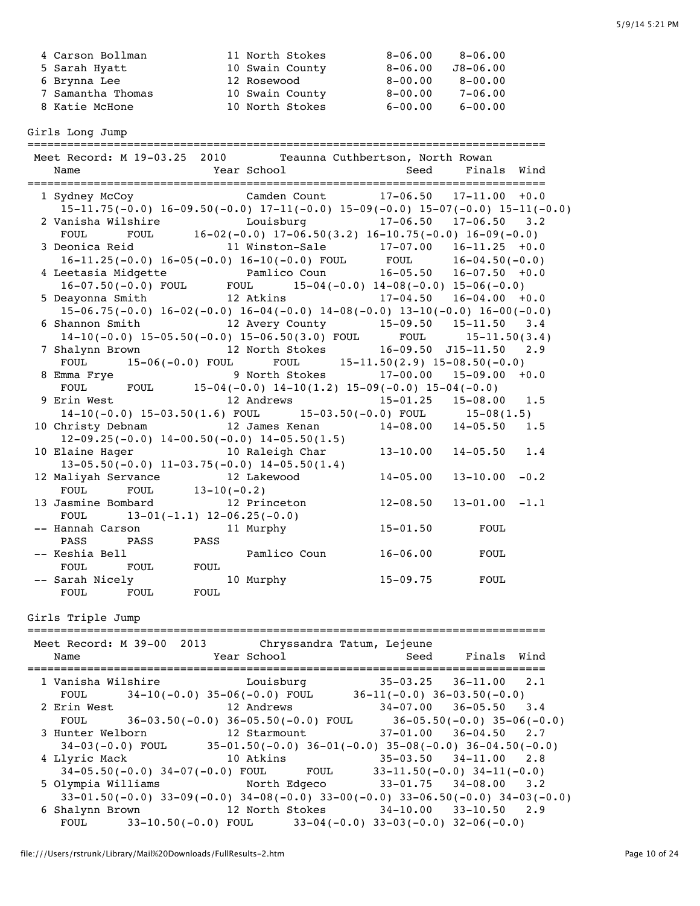| 4 Carson Bollman  | 11 North Stokes | 8-06.00     | $8 - 06.00$  |
|-------------------|-----------------|-------------|--------------|
| 5 Sarah Hyatt     | 10 Swain County | $8 - 06.00$ | $J8 - 06.00$ |
| 6 Brynna Lee      | 12 Rosewood     | $8 - 00.00$ | $8 - 00.00$  |
| 7 Samantha Thomas | 10 Swain County | $8 - 00.00$ | $7 - 06.00$  |
| 8 Katie McHone    | 10 North Stokes | $6 - 00.00$ | $6 - 00.00$  |
|                   |                 |             |              |

Girls Long Jump

| Name              |                                                   |      | Year School    | Meet Record: M 19-03.25 2010 Teaunna Cuthbertson, North Rowan<br>Seed                                                                           | Finals Wind                  |  |
|-------------------|---------------------------------------------------|------|----------------|-------------------------------------------------------------------------------------------------------------------------------------------------|------------------------------|--|
|                   |                                                   |      |                |                                                                                                                                                 |                              |  |
|                   |                                                   |      |                | 1 Sydney McCoy Camden Count 17-06.50 17-11.00 +0.0                                                                                              |                              |  |
|                   |                                                   |      |                | $15-11.75(-0.0)$ $16-09.50(-0.0)$ $17-11(-0.0)$ $15-09(-0.0)$ $15-07(-0.0)$ $15-11(-0.0)$                                                       |                              |  |
|                   |                                                   |      |                | 2 Vanisha Wilshire Mouisburg 17-06.50 17-06.50 3.2                                                                                              |                              |  |
| FOUL              |                                                   |      |                | FOUL $16-02(-0.0) 17-06.50(3.2) 16-10.75(-0.0) 16-09(-0.0)$                                                                                     |                              |  |
|                   |                                                   |      |                | 3 Deonica Reid 11 Winston-Sale 17-07.00 16-11.25 +0.0                                                                                           |                              |  |
|                   |                                                   |      |                | $16-11.25(-0.0) 16-05(-0.0) 16-10(-0.0)$ FOUL FOUL $16-04.50(-0.0)$                                                                             |                              |  |
|                   |                                                   |      |                | 4 Leetasia Midgette Pamlico Coun 16-05.50 16-07.50 +0.0<br>16-07.50 (-0.0) FOUL FOUL 15-04(-0.0) 14-08(-0.0) 15-06(-0.0)                        |                              |  |
|                   |                                                   |      |                |                                                                                                                                                 |                              |  |
|                   | 5 Deayonna Smith                                  |      |                | 12 Atkins 17-04.50 16-04.00 +0.0                                                                                                                |                              |  |
|                   |                                                   |      |                | $15-06.75(-0.0)$ $16-02(-0.0)$ $16-04(-0.0)$ $14-08(-0.0)$ $13-10(-0.0)$ $16-00(-0.0)$                                                          |                              |  |
|                   |                                                   |      |                | 6 Shannon Smith 12 Avery County 15-09.50 15-11.50 3.4                                                                                           |                              |  |
|                   |                                                   |      |                | 14-10(-0.0) 15-05.50(-0.0) 15-06.50(3.0) FOUL FOUL 15-11.50(3.4)<br>halynn Brown 12 North Stokes 16-09.50 J15-11.50 2.9                         |                              |  |
|                   | 7 Shalynn Brown                                   |      |                |                                                                                                                                                 |                              |  |
|                   |                                                   |      |                | FOUL 15-06(-0.0) FOUL FOUL 15-11.50(2.9) 15-08.50(-0.0)                                                                                         |                              |  |
|                   | 8 Emma Frye                                       |      |                | 9 North Stokes 17-00.00 15-09.00 +0.0<br>Emma Frye 9 North Stokes 17-00.00 15-09.00<br>FOUL FOUL 15-04(-0.0) 14-10(1.2) 15-09(-0.0) 15-04(-0.0) |                              |  |
|                   |                                                   |      |                |                                                                                                                                                 |                              |  |
|                   | 9 Erin West                                       |      | 12 Andrews     |                                                                                                                                                 | $15-01.25$ $15-08.00$ $1.5$  |  |
|                   |                                                   |      |                | $14-10(-0.0)$ $15-03.50(1.6)$ FOUL $15-03.50(-0.0)$ FOUL $15-08(1.5)$                                                                           |                              |  |
|                   | 10 Christy Debnam                                 |      | 12 James Kenan | $14-08.00$ $14-05.50$ $1.5$                                                                                                                     |                              |  |
|                   | $12-09.25(-0.0)$ $14-00.50(-0.0)$ $14-05.50(1.5)$ |      |                |                                                                                                                                                 |                              |  |
|                   | 10 Elaine Hager 10 Raleigh Char                   |      |                |                                                                                                                                                 | $13-10.00$ $14-05.50$ $1.4$  |  |
|                   | $13-05.50(-0.0)$ $11-03.75(-0.0)$ $14-05.50(1.4)$ |      |                |                                                                                                                                                 |                              |  |
|                   | 12 Maliyah Servance<br>12 Lakewood                |      |                | $14 - 05.00$                                                                                                                                    | $13 - 10.00 - 0.2$           |  |
| FOUL              | FOUL $13-10(-0.2)$                                |      |                |                                                                                                                                                 |                              |  |
|                   | 13 Jasmine Bombard                                |      | 12 Princeton   |                                                                                                                                                 | $12-08.50$ $13-01.00$ $-1.1$ |  |
|                   | $13-01(-1.1)$ $12-06.25(-0.0)$<br><b>FOUL</b>     |      |                |                                                                                                                                                 |                              |  |
|                   | -- Hannah Carson                                  |      | 11 Murphy      | $15 - 01.50$                                                                                                                                    | <b>FOUL</b>                  |  |
| PASS              | PASS PASS                                         |      |                |                                                                                                                                                 |                              |  |
| -- Keshia Bell    |                                                   |      | Pamlico Coun   | $16 - 06.00$                                                                                                                                    | FOUL                         |  |
| FOUL              | FOUL                                              | FOUL |                |                                                                                                                                                 |                              |  |
| -- Sarah Nicely   |                                                   |      | 10 Murphy      | $15 - 09.75$                                                                                                                                    | <b>FOUL</b>                  |  |
| FOUL              | FOUL                                              | FOUL |                |                                                                                                                                                 |                              |  |
|                   |                                                   |      |                |                                                                                                                                                 |                              |  |
| Girls Triple Jump |                                                   |      |                |                                                                                                                                                 |                              |  |

| Name |             | <b>Example 2</b> Year School | Meet Record: M 39-00 2013 Chryssandra Tatum, Lejeune                                      | Seed Finals Wind            |  |
|------|-------------|------------------------------|-------------------------------------------------------------------------------------------|-----------------------------|--|
|      |             |                              | 1 Vanisha Wilshire Mouisburg 35-03.25 36-11.00 2.1                                        |                             |  |
|      |             |                              | FOUL $34-10(-0.0)$ $35-06(-0.0)$ FOUL $36-11(-0.0)$ $36-03.50(-0.0)$                      |                             |  |
|      | 2 Erin West |                              | 12 Andrews                                                                                | $34-07.00$ $36-05.50$ $3.4$ |  |
|      |             |                              | FOUL $36-03.50(-0.0) 36-05.50(-0.0)$ FOUL $36-05.50(-0.0) 35-06(-0.0)$                    |                             |  |
|      |             |                              | 3 Hunter Welborn 12 Starmount 37-01.00 36-04.50 2.7                                       |                             |  |
|      |             |                              | $34-03(-0.0)$ FOUL $35-01.50(-0.0)$ $36-01(-0.0)$ $35-08(-0.0)$ $36-04.50(-0.0)$          |                             |  |
|      |             | 4 Llyric Mack 10 Atkins      | $35-03.50$ $34-11.00$ 2.8                                                                 |                             |  |
|      |             |                              | $34-05.50(-0.0)$ $34-07(-0.0)$ FOUL FOUL 33-11.50(-0.0) $34-11(-0.0)$                     |                             |  |
|      |             |                              | 5 Olympia Williams Morth Edgeco 33-01.75 34-08.00 3.2                                     |                             |  |
|      |             |                              | $33-01.50(-0.0)$ $33-09(-0.0)$ $34-08(-0.0)$ $33-00(-0.0)$ $33-06.50(-0.0)$ $34-03(-0.0)$ |                             |  |
|      |             |                              | 6 Shalynn Brown 12 North Stokes 34-10.00 33-10.50 2.9                                     |                             |  |
|      |             |                              | FOUL $33-10.50(-0.0)$ FOUL $33-04(-0.0)$ $33-03(-0.0)$ $32-06(-0.0)$                      |                             |  |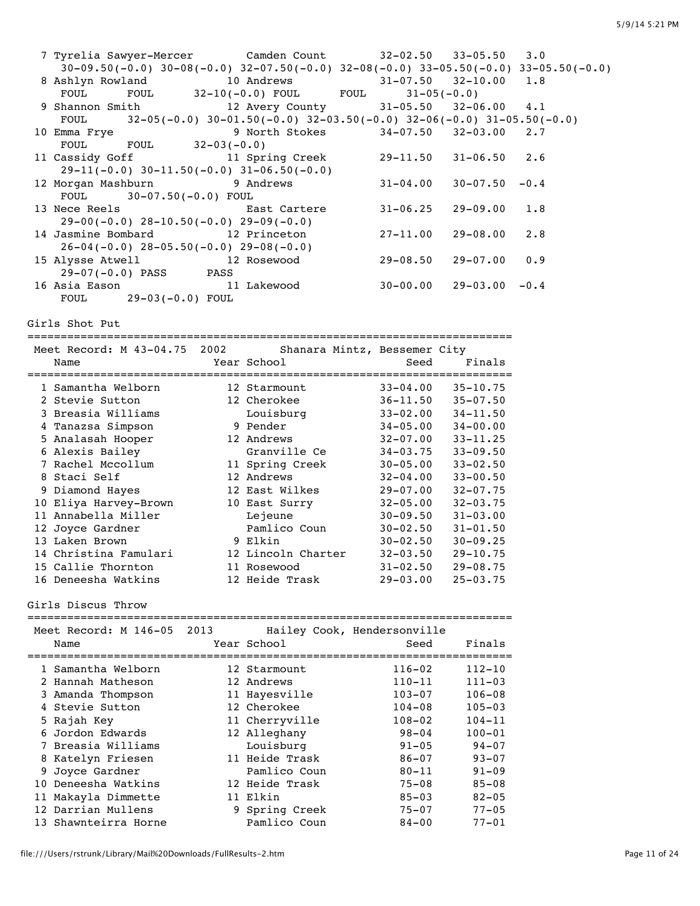| 7 Tyrelia Sawyer-Mercer       Camden Count                                                                                                                                                           |                              | $32 - 02.50$                                                                   | $33 - 05.50$       | $3 \cdot 0$ |  |
|------------------------------------------------------------------------------------------------------------------------------------------------------------------------------------------------------|------------------------------|--------------------------------------------------------------------------------|--------------------|-------------|--|
| $30-09.50(-0.0)$ $30-08(-0.0)$ $32-07.50(-0.0)$ $32-08(-0.0)$ $33-05.50(-0.0)$ $33-05.50(-0.0)$                                                                                                      |                              |                                                                                |                    |             |  |
| 8 Ashlyn Rowland 10 Andrews 31-07.50                                                                                                                                                                 |                              |                                                                                | $32 - 10.00$       | 1.8         |  |
| FOUL                                                                                                                                                                                                 | FOUL $32-10(-0.0)$ FOUL FOUL | $31 - 05(-0.0)$                                                                |                    |             |  |
| 9 Shannon Smith                                                                                                                                                                                      | 12 Avery County              | $31 - 05.50$ $32 - 06.00$                                                      |                    | 4.1         |  |
| <b>FOUL</b>                                                                                                                                                                                          |                              | $32-05(-0.0)$ $30-01.50(-0.0)$ $32-03.50(-0.0)$ $32-06(-0.0)$ $31-05.50(-0.0)$ |                    |             |  |
| 10 Emma Frye                                                                                                                                                                                         |                              | 9 North Stokes 34-07.50 32-03.00                                               |                    | $2 \cdot 7$ |  |
| FOUL $32-03(-0.0)$<br>FOUL                                                                                                                                                                           |                              |                                                                                |                    |             |  |
|                                                                                                                                                                                                      |                              |                                                                                |                    |             |  |
| 11 Cassidy Goff                                                                                                                                                                                      |                              | 11 Spring Creek 29-11.50 31-06.50                                              |                    | 2.6         |  |
| $29-11(-0.0)$ 30-11.50(-0.0) 31-06.50(-0.0)                                                                                                                                                          |                              |                                                                                |                    |             |  |
| 12 Morgan Mashburn 9 Andrews                                                                                                                                                                         |                              | $31 - 04.00$                                                                   | $30 - 07.50 - 0.4$ |             |  |
| FOUL<br>$30-07.50(-0.0)$ FOUL                                                                                                                                                                        |                              |                                                                                |                    |             |  |
| 13 Nece Reels                                                                                                                                                                                        | East Cartere                 | $31 - 06.25$                                                                   | $29 - 09.00$       | 1.8         |  |
| $29-00(-0.0)$ $28-10.50(-0.0)$ $29-09(-0.0)$                                                                                                                                                         |                              |                                                                                |                    |             |  |
| 14 Jasmine Bombard 12 Princeton                                                                                                                                                                      |                              | $27 - 11.00$                                                                   | $29 - 08.00$       | 2.8         |  |
| $26-04(-0.0)$ $28-05.50(-0.0)$ $29-08(-0.0)$                                                                                                                                                         |                              |                                                                                |                    |             |  |
| 15 Alysse Atwell 12 Rosewood                                                                                                                                                                         |                              | $29 - 08.50$                                                                   | $29 - 07.00$       | 0.9         |  |
| 29-07(-0.0) PASS PASS                                                                                                                                                                                |                              |                                                                                |                    |             |  |
| 16 Asia Eason                                                                                                                                                                                        | 11 Lakewood                  | $30 - 00.00$                                                                   | $29 - 03.00 - 0.4$ |             |  |
|                                                                                                                                                                                                      |                              |                                                                                |                    |             |  |
| 29-03(-0.0) FOUL<br>FOUL                                                                                                                                                                             |                              |                                                                                |                    |             |  |
|                                                                                                                                                                                                      |                              |                                                                                |                    |             |  |
| Girls Shot Put                                                                                                                                                                                       |                              |                                                                                |                    |             |  |
|                                                                                                                                                                                                      |                              |                                                                                |                    |             |  |
| Meet Record: M 43-04.75 2002                                                                                                                                                                         |                              | Shanara Mintz, Bessemer City                                                   |                    |             |  |
| Name                                                                                                                                                                                                 | Year School                  | Seed                                                                           | Finals             |             |  |
|                                                                                                                                                                                                      |                              |                                                                                |                    |             |  |
|                                                                                                                                                                                                      |                              |                                                                                |                    |             |  |
|                                                                                                                                                                                                      |                              |                                                                                |                    |             |  |
| 1 Samantha Welborn 12 Starmount 33-04.00 35-10.75<br>2 Stevie Sutton 12 Cherokee 36-11.50 35-07.50<br>3 Breasia Williams Louisburg 33-02.00 34-11.50<br>4 Tanazsa Simpson 9 Pender 34-05.00 34-00.00 |                              |                                                                                |                    |             |  |
|                                                                                                                                                                                                      |                              |                                                                                |                    |             |  |
| 5 Analasah Hooper 12 Andrews 32-07.00                                                                                                                                                                |                              |                                                                                |                    |             |  |
|                                                                                                                                                                                                      |                              |                                                                                | $33 - 11.25$       |             |  |
| 6 Alexis Bailey                                                                                                                                                                                      | Granville Ce 34-03.75        |                                                                                | $33 - 09.50$       |             |  |
| 7 Rachel Mccollum 11 Spring Creek 30-05.00                                                                                                                                                           |                              |                                                                                | $33 - 02.50$       |             |  |
|                                                                                                                                                                                                      |                              |                                                                                | $33 - 00.50$       |             |  |
| 8 Staci Self 12 Andrews<br>9 Diamond Hayes 12 East Wilkes<br>10 Eliya Harvey-Brown 10 East Surry                                                                                                     |                              | 32-04.00<br>29-07.00<br>32-05.00                                               | $32 - 07.75$       |             |  |
|                                                                                                                                                                                                      |                              |                                                                                | $32 - 03.75$       |             |  |
| 11 Annabella Miller                                                                                                                                                                                  | Lejeune                      | $30-09.50$ $31-03.00$                                                          |                    |             |  |
| 12 Joyce Gardner                                                                                                                                                                                     |                              | $30 - 02.50$ $31 - 01.50$                                                      |                    |             |  |
| 13 Laken Brown                                                                                                                                                                                       | Pamlico Coun<br>9 Elkin      | $30 - 02.50$                                                                   | $30 - 09.25$       |             |  |
| 14 Christina Famulari                                                                                                                                                                                | 12 Lincoln Charter           | $32 - 03.50$                                                                   |                    |             |  |
|                                                                                                                                                                                                      |                              |                                                                                | $29 - 10.75$       |             |  |
| 15 Callie Thornton                                                                                                                                                                                   | 11 Rosewood                  | $31 - 02.50$                                                                   | $29 - 08.75$       |             |  |
| 16 Deneesha Watkins                                                                                                                                                                                  | 12 Heide Trask               | $29 - 03.00$                                                                   | $25 - 03.75$       |             |  |
|                                                                                                                                                                                                      |                              |                                                                                |                    |             |  |
| Girls Discus Throw                                                                                                                                                                                   |                              |                                                                                |                    |             |  |
|                                                                                                                                                                                                      |                              |                                                                                |                    |             |  |
| Meet Record: M 146-05<br>2013                                                                                                                                                                        |                              | Hailey Cook, Hendersonville                                                    |                    |             |  |
| Name                                                                                                                                                                                                 | Year School                  | Seed                                                                           | Finals             |             |  |
|                                                                                                                                                                                                      |                              | =====================                                                          |                    |             |  |
| 1 Samantha Welborn                                                                                                                                                                                   | 12 Starmount                 | $116 - 02$                                                                     | $112 - 10$         |             |  |
| 2 Hannah Matheson                                                                                                                                                                                    | 12 Andrews                   | $110 - 11$                                                                     | $111 - 03$         |             |  |
| 3 Amanda Thompson                                                                                                                                                                                    | 11 Hayesville                | 103-07                                                                         | $106 - 08$         |             |  |
|                                                                                                                                                                                                      |                              |                                                                                |                    |             |  |
| 4 Stevie Sutton                                                                                                                                                                                      | 12 Cherokee                  | $104 - 08$                                                                     | $105 - 03$         |             |  |
| 5 Rajah Key                                                                                                                                                                                          | 11 Cherryville               | 108-02                                                                         | $104 - 11$         |             |  |
| 6 Jordon Edwards                                                                                                                                                                                     | 12 Alleghany                 | $98 - 04$                                                                      | $100 - 01$         |             |  |
| 7 Breasia Williams                                                                                                                                                                                   | Louisburg                    | $91 - 05$                                                                      | $94 - 07$          |             |  |
| 8 Katelyn Friesen                                                                                                                                                                                    | 11 Heide Trask               | $86 - 07$                                                                      | $93 - 07$          |             |  |
| 9 Joyce Gardner                                                                                                                                                                                      | Pamlico Coun                 | $80 - 11$                                                                      | $91 - 09$          |             |  |
| 10 Deneesha Watkins                                                                                                                                                                                  | 12 Heide Trask               | $75 - 08$                                                                      | $85 - 08$          |             |  |
| 11 Makayla Dimmette                                                                                                                                                                                  | 11 Elkin                     | $85 - 03$                                                                      | $82 - 05$          |             |  |
|                                                                                                                                                                                                      |                              |                                                                                |                    |             |  |
| 12 Darrian Mullens                                                                                                                                                                                   | 9 Spring Creek               | $75 - 07$                                                                      | $77 - 05$          |             |  |
| 13 Shawnteirra Horne                                                                                                                                                                                 | Pamlico Coun                 | 84-00                                                                          | 77–01              |             |  |
|                                                                                                                                                                                                      |                              |                                                                                |                    |             |  |
|                                                                                                                                                                                                      |                              |                                                                                |                    |             |  |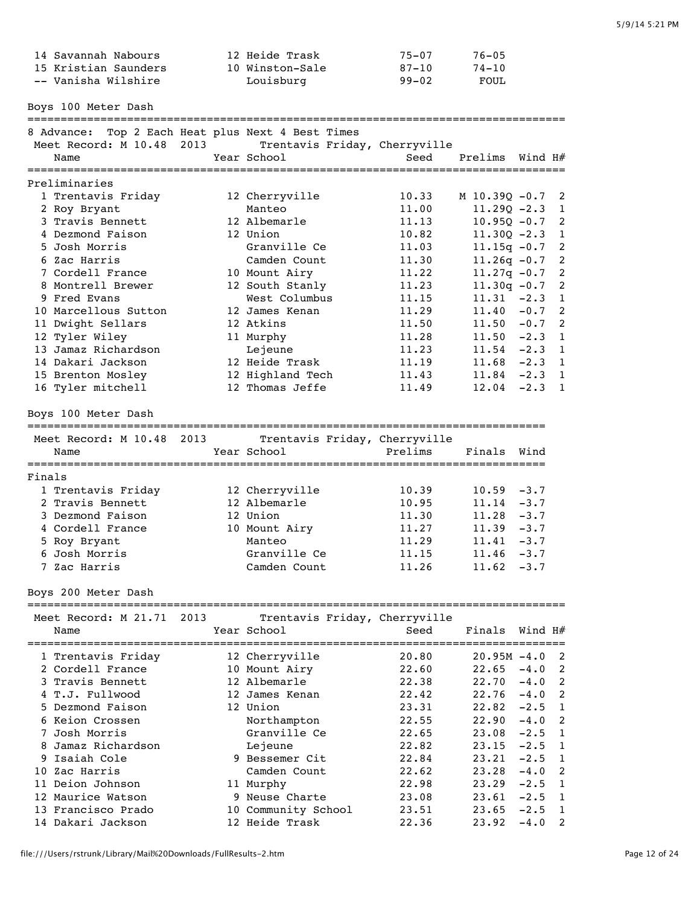|        | 14 Savannah Nabours<br>15 Kristian Saunders<br>-- Vanisha Wilshire                     |  | 12 Heide Trask<br>10 Winston-Sale<br>Louisburg | $75 - 07$<br>$87 - 10$<br>$99 - 02$ | $76 - 05$<br>$74 - 10$<br>FOUL     |                  |                     |
|--------|----------------------------------------------------------------------------------------|--|------------------------------------------------|-------------------------------------|------------------------------------|------------------|---------------------|
|        | Boys 100 Meter Dash                                                                    |  |                                                |                                     |                                    |                  |                     |
|        | 8 Advance: Top 2 Each Heat plus Next 4 Best Times<br>Meet Record: M 10.48 2013<br>Name |  | Trentavis Friday, Cherryville<br>Year School   | Seed                                | Prelims Wind H#                    |                  |                     |
|        | Preliminaries                                                                          |  |                                                | ===============================     |                                    |                  |                     |
|        | 1 Trentavis Friday                                                                     |  | 12 Cherryville                                 | 10.33                               | M 10.390 -0.7                      |                  | 2                   |
|        | 2 Roy Bryant                                                                           |  | Manteo                                         | 11.00                               | $11.290 - 2.3$                     |                  | 1                   |
|        | 3 Travis Bennett                                                                       |  | 12 Albemarle                                   | 11.13                               | $10.95Q - 0.7$                     |                  | 2                   |
|        | 4 Dezmond Faison                                                                       |  | 12 Union                                       | 10.82                               | $11.30Q - 2.3$                     |                  | 1                   |
|        | 5 Josh Morris<br>6 Zac Harris                                                          |  | Granville Ce<br>Camden Count                   | 11.03<br>11.30                      | $11.15q - 0.7$<br>$11.26q - 0.7$   |                  | 2<br>$\overline{c}$ |
|        | 7 Cordell France                                                                       |  | 10 Mount Airy                                  | 11.22                               | $11.27q - 0.7$                     |                  | $\overline{c}$      |
|        | 8 Montrell Brewer                                                                      |  | 12 South Stanly                                | 11.23                               | $11.30q - 0.7$                     |                  | $\overline{c}$      |
|        | 9 Fred Evans                                                                           |  | West Columbus                                  | 11.15                               | $11.31 -2.3$                       |                  | 1                   |
|        | 10 Marcellous Sutton                                                                   |  | 12 James Kenan                                 | 11.29                               | 11.40                              | $-0.7$           | 2                   |
|        | 11 Dwight Sellars                                                                      |  | 12 Atkins                                      | 11.50                               | $11.50 -0.7$                       |                  | 2                   |
|        | 12 Tyler Wiley                                                                         |  | 11 Murphy                                      | 11.28                               | $11.50 -2.3$                       |                  | 1                   |
|        | 13 Jamaz Richardson                                                                    |  | Lejeune                                        | 11.23                               | $11.54 -2.3$                       |                  | $\overline{1}$      |
|        | 14 Dakari Jackson<br>15 Brenton Mosley                                                 |  | 12 Heide Trask                                 | 11.19<br>11.43                      | $11.68 - 2.3$ 1<br>$11.84 - 2.3 1$ |                  |                     |
|        | 16 Tyler mitchell                                                                      |  | 12 Highland Tech<br>12 Thomas Jeffe            | 11.49                               | 12.04                              | $-2.3$           | $\overline{1}$      |
|        |                                                                                        |  |                                                |                                     |                                    |                  |                     |
|        | Boys 100 Meter Dash                                                                    |  |                                                |                                     |                                    |                  |                     |
|        | Meet Record: M 10.48 2013                                                              |  | Trentavis Friday, Cherryville                  |                                     |                                    |                  |                     |
|        | Name                                                                                   |  | Year School                                    | Prelims                             | Finals                             | Wind             |                     |
|        |                                                                                        |  |                                                |                                     |                                    |                  |                     |
| Finals |                                                                                        |  |                                                |                                     |                                    |                  |                     |
|        | 1 Trentavis Friday                                                                     |  | 12 Cherryville                                 | 10.39                               | 10.59                              | $-3.7$           |                     |
|        | 2 Travis Bennett<br>3 Dezmond Faison                                                   |  | 12 Albemarle<br>12 Union                       | 10.95                               | 11.14<br>$11.28 - 3.7$             | $-3.7$           |                     |
|        | 4 Cordell France                                                                       |  | 10 Mount Airy                                  | 11.30<br>11.27                      | $11.39 - 3.7$                      |                  |                     |
|        | 5 Roy Bryant                                                                           |  | Manteo                                         | 11.29                               | 11.41                              | $-3.7$           |                     |
|        | 6 Josh Morris                                                                          |  | Granville Ce                                   | 11.15                               | $11.46 - 3.7$                      |                  |                     |
|        | 7 Zac Harris                                                                           |  | Camden Count                                   | 11.26                               | $11.62 -3.7$                       |                  |                     |
|        | Boys 200 Meter Dash                                                                    |  |                                                |                                     |                                    |                  |                     |
|        |                                                                                        |  |                                                |                                     |                                    |                  |                     |
|        | Meet Record: M 21.71 2013                                                              |  | Trentavis Friday, Cherryville                  |                                     |                                    |                  |                     |
|        | Name                                                                                   |  | Year School                                    | Seed                                | Finals                             | Wind H#          |                     |
|        | 1 Trentavis Friday                                                                     |  | 12 Cherryville                                 | 20.80                               | $20.95M - 4.0$                     |                  | 2                   |
|        | 2 Cordell France                                                                       |  | 10 Mount Airy                                  | 22.60                               | 22.65                              | $-4.0$           | 2                   |
|        | 3 Travis Bennett                                                                       |  |                                                |                                     |                                    |                  | 2                   |
|        |                                                                                        |  | 12 Albemarle                                   | 22.38                               | 22.70                              | $-4.0$           |                     |
|        | 4 T.J. Fullwood                                                                        |  | 12 James Kenan                                 | 22.42                               | 22.76                              | $-4.0$           | 2                   |
|        | 5 Dezmond Faison                                                                       |  | 12 Union                                       | 23.31                               | 22.82                              | $-2.5$           | 1                   |
|        | 6 Keion Crossen                                                                        |  | Northampton                                    | 22.55                               | 22.90                              | $-4.0$           | 2                   |
|        | 7 Josh Morris                                                                          |  | Granville Ce                                   | 22.65                               | 23.08                              | $-2.5$           | 1                   |
|        | 8 Jamaz Richardson                                                                     |  | Lejeune                                        | 22.82                               | 23.15                              | $-2.5$           | 1                   |
|        | 9 Isaiah Cole                                                                          |  | 9 Bessemer Cit                                 | 22.84                               | 23.21                              | $-2.5$           | 1                   |
|        | 10 Zac Harris                                                                          |  | Camden Count                                   | 22.62                               | 23.28                              | $-4.0$           | 2<br>1              |
|        | 11 Deion Johnson<br>12 Maurice Watson                                                  |  | 11 Murphy<br>9 Neuse Charte                    | 22.98<br>23.08                      | 23.29<br>23.61                     | $-2.5$<br>$-2.5$ | 1                   |
|        | 13 Francisco Prado                                                                     |  | 10 Community School                            | 23.51                               | 23.65                              | $-2.5$           | 1                   |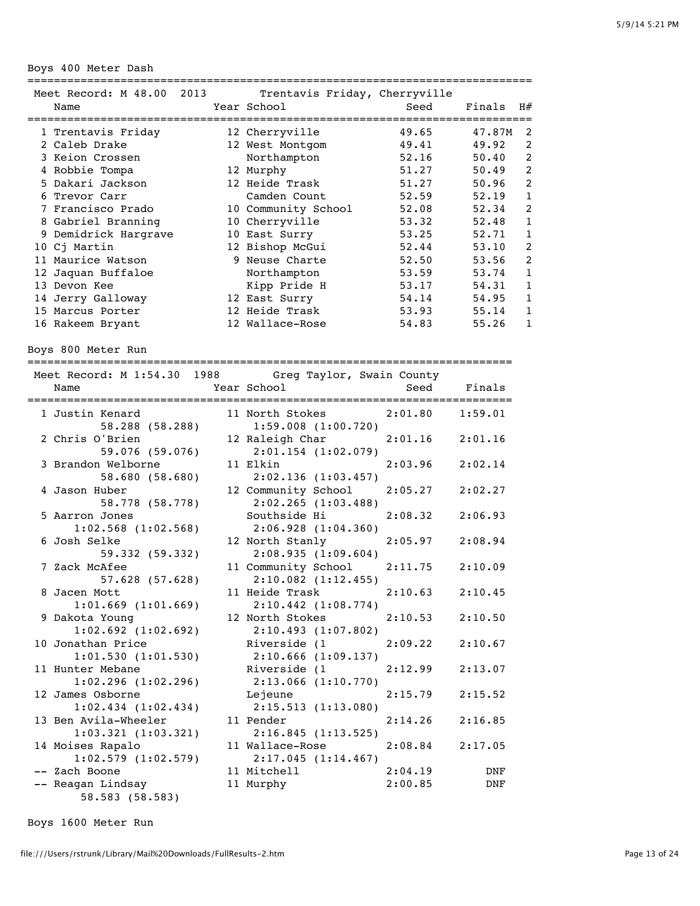Boys 400 Meter Dash

| Meet Record: M 48.00 2013 | Trentavis Friday, Cherryville |       |                    |                |
|---------------------------|-------------------------------|-------|--------------------|----------------|
| Name                      | Year School                   | Seed  | Finals             | H#             |
|                           |                               |       | ------------------ |                |
| 1 Trentavis Friday        | 12 Cherryville                | 49.65 | 47.87M             | 2              |
| 2 Caleb Drake             | 12 West Montgom               | 49.41 | 49.92              | 2              |
| 3 Keion Crossen           | Northampton                   | 52.16 | 50.40              | 2              |
| 4 Robbie Tompa            | 12 Murphy                     | 51.27 | 50.49              | 2              |
| 5 Dakari Jackson          | 12 Heide Trask                | 51.27 | 50.96              | 2              |
| 6 Trevor Carr             | Camden Count                  | 52.59 | 52.19              | 1              |
| 7 Francisco Prado         | 10 Community School           | 52.08 | 52.34              | 2              |
| 8 Gabriel Branning        | 10 Cherryville                | 53.32 | 52.48              | 1              |
| 9 Demidrick Hargrave      | 10 East Surry                 | 53.25 | 52.71              | 1              |
| 10 Cj Martin              | 12 Bishop McGui               | 52.44 | 53.10              | 2              |
| 11 Maurice Watson         | 9 Neuse Charte                | 52.50 | 53.56              | $\mathfrak{D}$ |
| 12 Jaquan Buffaloe        | Northampton                   | 53.59 | 53.74              | 1              |
| 13 Devon Kee              | Kipp Pride H                  | 53.17 | 54.31              | 1              |
| 14 Jerry Galloway         | 12 East Surry                 | 54.14 | 54.95              | 1              |
| 15 Marcus Porter          | 12 Heide Trask                | 53.93 | 55.14              | 1              |
| 16 Rakeem Bryant          | 12 Wallace-Rose               | 54.83 | 55.26              | 1              |

Boys 800 Meter Run

=========================================================================

| Meet Record: M 1:54.30 1988 Greg Taylor, Swain County |                                                                                                               |                     |         |
|-------------------------------------------------------|---------------------------------------------------------------------------------------------------------------|---------------------|---------|
| Name                                                  | Year School                                                                                                   | Seed Finals         |         |
| 1 Justin Kenard                                       | 11 North Stokes 2:01.80                                                                                       |                     | 1:59.01 |
| 58.288 (58.288)                                       | 1:59.008(1:00.720)                                                                                            |                     |         |
| 2 Chris O'Brien                                       | 12 Raleigh Char 2:01.16 2:01.16                                                                               |                     |         |
| 59.076 (59.076)                                       | $2:01.154$ $(1:02.079)$                                                                                       |                     |         |
| 3 Brandon Welborne                                    | 11 Elkin                                                                                                      | 2:03.96             | 2:02.14 |
| 58.680 (58.680)                                       | 2:02.136(1:03.457)                                                                                            |                     |         |
| 4 Jason Huber                                         | 12 Community School                                                                                           | $2:05.27$ $2:02.27$ |         |
| 58.778 (58.778)                                       | 2:02.265(1:03.488)                                                                                            |                     |         |
| 5 Aarron Jones                                        | Southside Hi                                                                                                  | 2:08.32             | 2:06.93 |
| $1:02.568$ $(1:02.568)$                               | 2:06.928(1:04.360)                                                                                            |                     |         |
| 6 Josh Selke                                          | 12 North Stanly                                                                                               | 2:05.97             | 2:08.94 |
| 59.332 (59.332)                                       | 2:08.935(1:09.604)                                                                                            |                     |         |
| 7 Zack McAfee                                         | 11 Community School                                                                                           | 2:11.75             | 2:10.09 |
| $57.628$ (57.628)                                     | $2:10.082$ $(1:12.455)$                                                                                       |                     |         |
| 8 Jacen Mott                                          | 11 Heide Trask                                                                                                | 2:10.63             | 2:10.45 |
| $1:01.669$ $(1:01.669)$                               | $2:10.442$ $(1:08.774)$                                                                                       |                     |         |
| 9 Dakota Young                                        | 12 North Stokes                                                                                               | 2:10.53             | 2:10.50 |
| $1:02.692$ $(1:02.692)$                               | 2:10.493 (1:07.802)                                                                                           |                     |         |
| 10 Jonathan Price                                     | Riverside (1                                                                                                  | 2:09.22             | 2:10.67 |
| 1:01.530(1:01.530)                                    | 2:10.666(1:09.137)                                                                                            |                     |         |
| 11 Hunter Mebane                                      | Riverside (1                                                                                                  | 2:12.99             | 2:13.07 |
| $1:02.296$ $(1:02.296)$                               | 2:13.066(1:10.770)                                                                                            |                     |         |
| 12 James Osborne                                      | Lejeune de la controlle de la controlle de la controlle de la controlle de la controlle de la controlle de la | 2:15.79             | 2:15.52 |
| $1:02.434$ $(1:02.434)$                               | 2:15.513 (1:13.080)                                                                                           |                     |         |
| 13 Ben Avila-Wheeler                                  | 11 Pender                                                                                                     | 2:14.26             | 2:16.85 |
| 1:03.321(1:03.321)                                    | 2:16.845(1:13.525)                                                                                            |                     |         |
| 14 Moises Rapalo                                      | 11 Wallace-Rose                                                                                               | $2:08.84$ $2:17.05$ |         |
| $1:02.579$ $(1:02.579)$                               | 2:17.045(1:14.467)                                                                                            |                     |         |
| -- Zach Boone                                         | 11 Mitchell<br>11 Murphy                                                                                      | $2:04.19$ DNF       |         |
| -- Reagan Lindsay                                     |                                                                                                               | 2:00.85             | DNF     |
| 58.583 (58.583)                                       |                                                                                                               |                     |         |

Boys 1600 Meter Run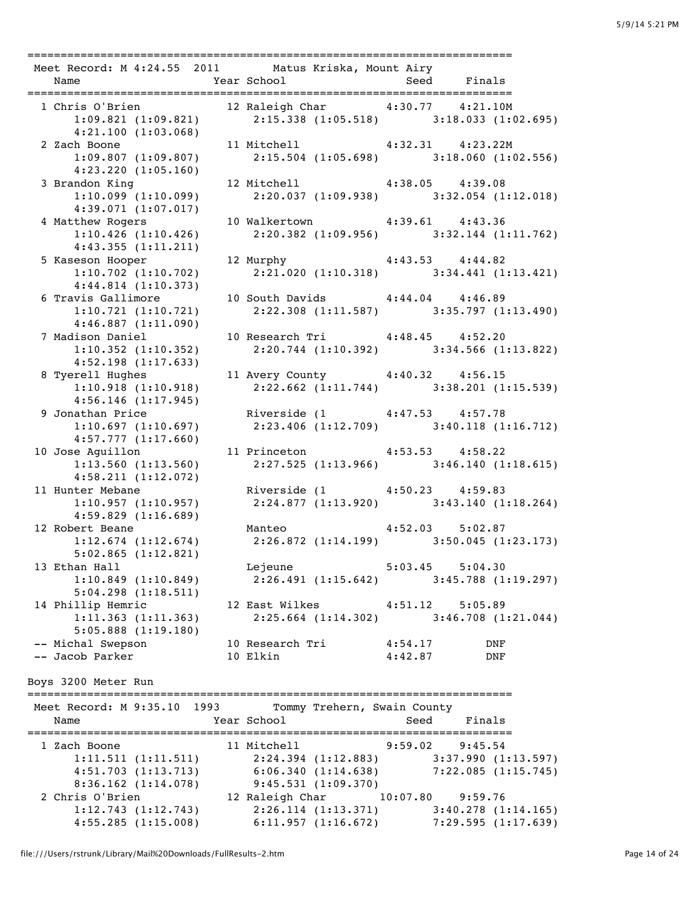| 1 Chris O'Brien 12 Raleigh Char 4:30.77 4:21.10M<br>1:09.821 (1:09.821) 2:15.338 (1:05.518) 3:18.033 (1:02.695)<br>4:21.100(1:03.068)<br>11 Mitchell 4:32.31 4:23.22M<br>2 Zach Boone<br>1:09.807 (1:09.807)<br>$2:15.504$ (1:05.698) 3:18.060 (1:02.556)<br>4:23.220(1:05.160)<br>12 Mitchell 4:38.05 4:39.08<br>3 Brandon King<br>$2:20.037$ (1:09.938) $3:32.054$ (1:12.018)<br>1:10.099(1:10.099)<br>4:39.071(1:07.017)<br>10 Walkertown 4:39.61 4:43.36<br>4 Matthew Rogers<br>$2:20.382$ (1:09.956) $3:32.144$ (1:11.762)<br>1:10.426(1:10.426)<br>4:43.355(1:11.211)<br>12 Murphy 4:43.53 4:44.82<br>5 Kaseson Hooper<br>$2:21.020$ (1:10.318) $3:34.441$ (1:13.421)<br>$1:10.702$ $(1:10.702)$<br>4:44.814(1:10.373)<br>6 Travis Gallimore 10 South Davids 4:44.04 4:46.89 |         |
|------------------------------------------------------------------------------------------------------------------------------------------------------------------------------------------------------------------------------------------------------------------------------------------------------------------------------------------------------------------------------------------------------------------------------------------------------------------------------------------------------------------------------------------------------------------------------------------------------------------------------------------------------------------------------------------------------------------------------------------------------------------------------------|---------|
|                                                                                                                                                                                                                                                                                                                                                                                                                                                                                                                                                                                                                                                                                                                                                                                    |         |
|                                                                                                                                                                                                                                                                                                                                                                                                                                                                                                                                                                                                                                                                                                                                                                                    |         |
|                                                                                                                                                                                                                                                                                                                                                                                                                                                                                                                                                                                                                                                                                                                                                                                    |         |
|                                                                                                                                                                                                                                                                                                                                                                                                                                                                                                                                                                                                                                                                                                                                                                                    |         |
|                                                                                                                                                                                                                                                                                                                                                                                                                                                                                                                                                                                                                                                                                                                                                                                    |         |
|                                                                                                                                                                                                                                                                                                                                                                                                                                                                                                                                                                                                                                                                                                                                                                                    |         |
|                                                                                                                                                                                                                                                                                                                                                                                                                                                                                                                                                                                                                                                                                                                                                                                    |         |
|                                                                                                                                                                                                                                                                                                                                                                                                                                                                                                                                                                                                                                                                                                                                                                                    |         |
|                                                                                                                                                                                                                                                                                                                                                                                                                                                                                                                                                                                                                                                                                                                                                                                    |         |
|                                                                                                                                                                                                                                                                                                                                                                                                                                                                                                                                                                                                                                                                                                                                                                                    |         |
|                                                                                                                                                                                                                                                                                                                                                                                                                                                                                                                                                                                                                                                                                                                                                                                    |         |
|                                                                                                                                                                                                                                                                                                                                                                                                                                                                                                                                                                                                                                                                                                                                                                                    |         |
|                                                                                                                                                                                                                                                                                                                                                                                                                                                                                                                                                                                                                                                                                                                                                                                    |         |
|                                                                                                                                                                                                                                                                                                                                                                                                                                                                                                                                                                                                                                                                                                                                                                                    |         |
|                                                                                                                                                                                                                                                                                                                                                                                                                                                                                                                                                                                                                                                                                                                                                                                    |         |
|                                                                                                                                                                                                                                                                                                                                                                                                                                                                                                                                                                                                                                                                                                                                                                                    |         |
| 1:10.721(1:10.721)<br>$2:22.308$ (1:11.587) 3:35.797 (1:13.490)                                                                                                                                                                                                                                                                                                                                                                                                                                                                                                                                                                                                                                                                                                                    |         |
| 4:46.887(1:11.090)                                                                                                                                                                                                                                                                                                                                                                                                                                                                                                                                                                                                                                                                                                                                                                 |         |
| 10 Research Tri 4:48.45 4:52.20<br>7 Madison Daniel                                                                                                                                                                                                                                                                                                                                                                                                                                                                                                                                                                                                                                                                                                                                |         |
| 2:20.744 (1:10.392) 3:34.566 (1:13.822)<br>$1:10.352$ $(1:10.352)$                                                                                                                                                                                                                                                                                                                                                                                                                                                                                                                                                                                                                                                                                                                 |         |
| 4:52.198(1:17.633)                                                                                                                                                                                                                                                                                                                                                                                                                                                                                                                                                                                                                                                                                                                                                                 |         |
| 11 Avery County 4:40.32 4:56.15<br>8 Tyerell Hughes                                                                                                                                                                                                                                                                                                                                                                                                                                                                                                                                                                                                                                                                                                                                |         |
| $2:22.662$ (1:11.744) 3:38.201 (1:15.539)<br>1:10.918(1:10.918)                                                                                                                                                                                                                                                                                                                                                                                                                                                                                                                                                                                                                                                                                                                    |         |
| 4:56.146(1:17.945)                                                                                                                                                                                                                                                                                                                                                                                                                                                                                                                                                                                                                                                                                                                                                                 |         |
| 9 Jonathan Price<br>Riverside (1 4:47.53 4:57.78                                                                                                                                                                                                                                                                                                                                                                                                                                                                                                                                                                                                                                                                                                                                   |         |
| $2:23.406$ (1:12.709) $3:40.118$ (1:16.712)<br>1:10.697(1:10.697)                                                                                                                                                                                                                                                                                                                                                                                                                                                                                                                                                                                                                                                                                                                  |         |
| 4:57.777(1:17.660)                                                                                                                                                                                                                                                                                                                                                                                                                                                                                                                                                                                                                                                                                                                                                                 |         |
| 11 Princeton 4:53.53 4:58.22<br>10 Jose Aguillon                                                                                                                                                                                                                                                                                                                                                                                                                                                                                                                                                                                                                                                                                                                                   |         |
| $2:27.525$ (1:13.966) $3:46.140$ (1:18.615)<br>1:13.560(1:13.560)                                                                                                                                                                                                                                                                                                                                                                                                                                                                                                                                                                                                                                                                                                                  |         |
| 4:58.211(1:12.072)                                                                                                                                                                                                                                                                                                                                                                                                                                                                                                                                                                                                                                                                                                                                                                 |         |
| Riverside (1 4:50.23 4:59.83<br>11 Hunter Mebane                                                                                                                                                                                                                                                                                                                                                                                                                                                                                                                                                                                                                                                                                                                                   |         |
| 1:10.957 (1:10.957) 2:24.877 (1:13.920) 3:43.140 (1:18.264)                                                                                                                                                                                                                                                                                                                                                                                                                                                                                                                                                                                                                                                                                                                        |         |
| 4:59.829(1:16.689)                                                                                                                                                                                                                                                                                                                                                                                                                                                                                                                                                                                                                                                                                                                                                                 |         |
|                                                                                                                                                                                                                                                                                                                                                                                                                                                                                                                                                                                                                                                                                                                                                                                    |         |
| Manteo 4:52.03 5:02.87<br>12 Robert Beane Manteo 4:52.03 5:02.87<br>1:12.674 (1:12.674) 2:26.872 (1:14.199) 3:50.045 (1:23.173)                                                                                                                                                                                                                                                                                                                                                                                                                                                                                                                                                                                                                                                    |         |
|                                                                                                                                                                                                                                                                                                                                                                                                                                                                                                                                                                                                                                                                                                                                                                                    |         |
| 5:02.865(1:12.821)                                                                                                                                                                                                                                                                                                                                                                                                                                                                                                                                                                                                                                                                                                                                                                 |         |
| Lejeune<br>13 Ethan Hall<br>$5:03.45$ $5:04.30$                                                                                                                                                                                                                                                                                                                                                                                                                                                                                                                                                                                                                                                                                                                                    |         |
| 1:10.849(1:10.849)<br>$2:26.491(1:15.642)$ $3:45.788(1:19.297)$                                                                                                                                                                                                                                                                                                                                                                                                                                                                                                                                                                                                                                                                                                                    |         |
| $5:04.298$ $(1:18.511)$                                                                                                                                                                                                                                                                                                                                                                                                                                                                                                                                                                                                                                                                                                                                                            |         |
| 14 Phillip Hemric<br>12 East Wilkes 4:51.12 5:05.89                                                                                                                                                                                                                                                                                                                                                                                                                                                                                                                                                                                                                                                                                                                                |         |
| 1:11.363(1:11.363)<br>$2:25.664$ (1:14.302) 3:46.708 (1:21.044)                                                                                                                                                                                                                                                                                                                                                                                                                                                                                                                                                                                                                                                                                                                    |         |
| 5:05.888(1:19.180)                                                                                                                                                                                                                                                                                                                                                                                                                                                                                                                                                                                                                                                                                                                                                                 |         |
| 10 Research Tri<br>-- Michal Swepson<br>4:54.17                                                                                                                                                                                                                                                                                                                                                                                                                                                                                                                                                                                                                                                                                                                                    | DNF     |
| -- Jacob Parker<br>10 Elkin<br>4:42.87                                                                                                                                                                                                                                                                                                                                                                                                                                                                                                                                                                                                                                                                                                                                             | DNF     |
| Boys 3200 Meter Run<br>Meet Record: M 9:35.10 1993<br>Tommy Trehern, Swain County<br>Year School<br>Seed<br>Name                                                                                                                                                                                                                                                                                                                                                                                                                                                                                                                                                                                                                                                                   | Finals  |
|                                                                                                                                                                                                                                                                                                                                                                                                                                                                                                                                                                                                                                                                                                                                                                                    |         |
| 11 Mitchell<br>1 Zach Boone<br>9:59.02                                                                                                                                                                                                                                                                                                                                                                                                                                                                                                                                                                                                                                                                                                                                             | 9:45.54 |
| 1:11.511(1:11.511)<br>$2:24.394$ (1:12.883) 3:37.990 (1:13.597)                                                                                                                                                                                                                                                                                                                                                                                                                                                                                                                                                                                                                                                                                                                    |         |
| $6:06.340(1:14.638)$ $7:22.085(1:15.745)$<br>4:51.703(1:13.713)                                                                                                                                                                                                                                                                                                                                                                                                                                                                                                                                                                                                                                                                                                                    |         |
|                                                                                                                                                                                                                                                                                                                                                                                                                                                                                                                                                                                                                                                                                                                                                                                    |         |
| 9:45.531(1:09.370)<br>8:36.162(1:14.078)                                                                                                                                                                                                                                                                                                                                                                                                                                                                                                                                                                                                                                                                                                                                           |         |

 1:12.743 (1:12.743) 2:26.114 (1:13.371) 3:40.278 (1:14.165) 4:55.285 (1:15.008) 6:11.957 (1:16.672) 7:29.595 (1:17.639)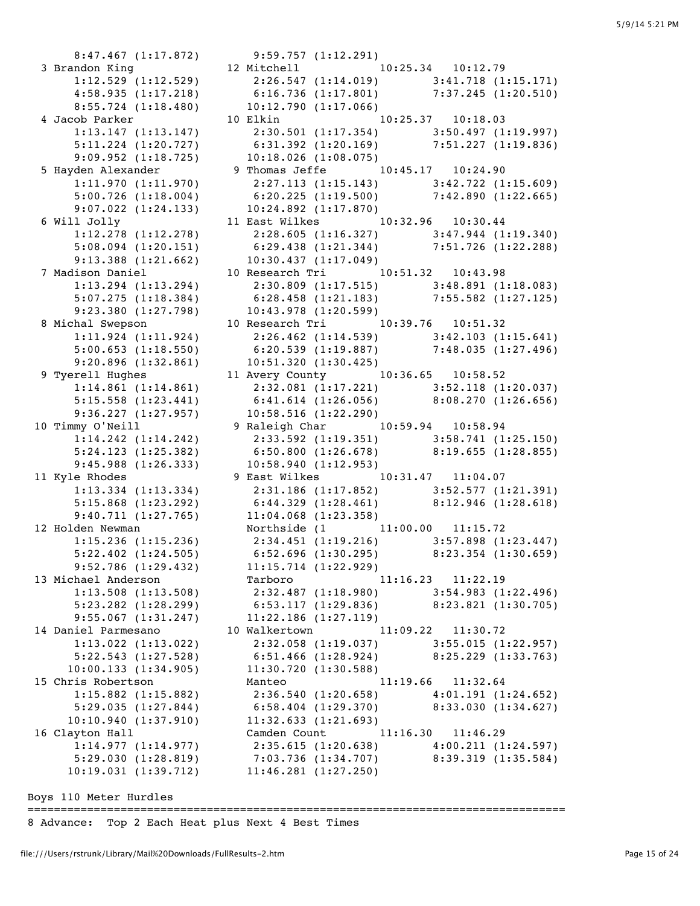8:47.467 (1:17.872) 9:59.757 (1:12.291) 3 Brandon King 12 Mitchell 10:25.34 10:12.79 1:12.529 (1:12.529) 2:26.547 (1:14.019) 3:41.718 (1:15.171) 4:58.935 (1:17.218) 6:16.736 (1:17.801) 7:37.245 (1:20.510) 8:55.724 (1:18.480) 10:12.790 (1:17.066) 4 Jacob Parker 10 Elkin 10:25.37 10:18.03 1:13.147 (1:13.147) 2:30.501 (1:17.354) 3:50.497 (1:19.997) 5:11.224 (1:20.727) 6:31.392 (1:20.169) 7:51.227 (1:19.836) 9:09.952 (1:18.725) 10:18.026 (1:08.075) 5 Hayden Alexander 9 Thomas Jeffe 10:45.17 10:24.90 1:11.970 (1:11.970) 2:27.113 (1:15.143) 3:42.722 (1:15.609) 5:00.726 (1:18.004) 6:20.225 (1:19.500) 7:42.890 (1:22.665) 9:07.022 (1:24.133) 10:24.892 (1:17.870) 6 Will Jolly 11 East Wilkes 10:32.96 10:30.44 1:12.278 (1:12.278) 2:28.605 (1:16.327) 3:47.944 (1:19.340) 5:08.094 (1:20.151) 6:29.438 (1:21.344) 7:51.726 (1:22.288) 9:13.388 (1:21.662) 10:30.437 (1:17.049) 7 Madison Daniel 10 Research Tri 10:51.32 10:43.98 1:13.294 (1:13.294) 2:30.809 (1:17.515) 3:48.891 (1:18.083) 5:07.275 (1:18.384) 6:28.458 (1:21.183) 7:55.582 (1:27.125) 9:23.380 (1:27.798) 10:43.978 (1:20.599) 8 Michal Swepson 10 Research Tri 10:39.76 10:51.32 1:11.924 (1:11.924) 2:26.462 (1:14.539) 3:42.103 (1:15.641) 5:00.653 (1:18.550) 6:20.539 (1:19.887) 7:48.035 (1:27.496) 9:20.896 (1:32.861) 10:51.320 (1:30.425) 9 Tyerell Hughes 11 Avery County 10:36.65 10:58.52 1:14.861 (1:14.861) 2:32.081 (1:17.221) 3:52.118 (1:20.037) 5:15.558 (1:23.441) 6:41.614 (1:26.056) 8:08.270 (1:26.656) 9:36.227 (1:27.957) 10:58.516 (1:22.290) 10 Timmy O'Neill 9 Raleigh Char 10:59.94 10:58.94 1:14.242 (1:14.242) 2:33.592 (1:19.351) 3:58.741 (1:25.150) 5:24.123 (1:25.382) 6:50.800 (1:26.678) 8:19.655 (1:28.855) 9:45.988 (1:26.333) 10:58.940 (1:12.953) 11 Kyle Rhodes 9 East Wilkes 10:31.47 11:04.07 1:13.334 (1:13.334) 2:31.186 (1:17.852) 3:52.577 (1:21.391) 5:15.868 (1:23.292) 6:44.329 (1:28.461) 8:12.946 (1:28.618) 9:40.711 (1:27.765) 11:04.068 (1:23.358) 12 Holden Newman Northside (1 11:00.00 11:15.72 1:15.236 (1:15.236) 2:34.451 (1:19.216) 3:57.898 (1:23.447) 5:22.402 (1:24.505) 6:52.696 (1:30.295) 8:23.354 (1:30.659) 9:52.786 (1:29.432) 11:15.714 (1:22.929) 13 Michael Anderson Tarboro 11:16.23 11:22.19 1:13.508 (1:13.508) 2:32.487 (1:18.980) 3:54.983 (1:22.496) 5:23.282 (1:28.299) 6:53.117 (1:29.836) 8:23.821 (1:30.705) 9:55.067 (1:31.247) 11:22.186 (1:27.119) 14 Daniel Parmesano 10 Walkertown 11:09.22 11:30.72 1:13.022 (1:13.022) 2:32.058 (1:19.037) 3:55.015 (1:22.957) 5:22.543 (1:27.528) 6:51.466 (1:28.924) 8:25.229 (1:33.763) 10:00.133 (1:34.905) 11:30.720 (1:30.588) 15 Chris Robertson Manteo 11:19.66 11:32.64 1:15.882 (1:15.882) 2:36.540 (1:20.658) 4:01.191 (1:24.652) 5:29.035 (1:27.844) 6:58.404 (1:29.370) 8:33.030 (1:34.627) 10:10.940 (1:37.910) 11:32.633 (1:21.693) 16 Clayton Hall Camden Count 11:16.30 11:46.29 1:14.977 (1:14.977) 2:35.615 (1:20.638) 4:00.211 (1:24.597) 5:29.030 (1:28.819) 7:03.736 (1:34.707) 8:39.319 (1:35.584)

Boys 110 Meter Hurdles

=================================================================================

8 Advance: Top 2 Each Heat plus Next 4 Best Times

10:19.031 (1:39.712) 11:46.281 (1:27.250)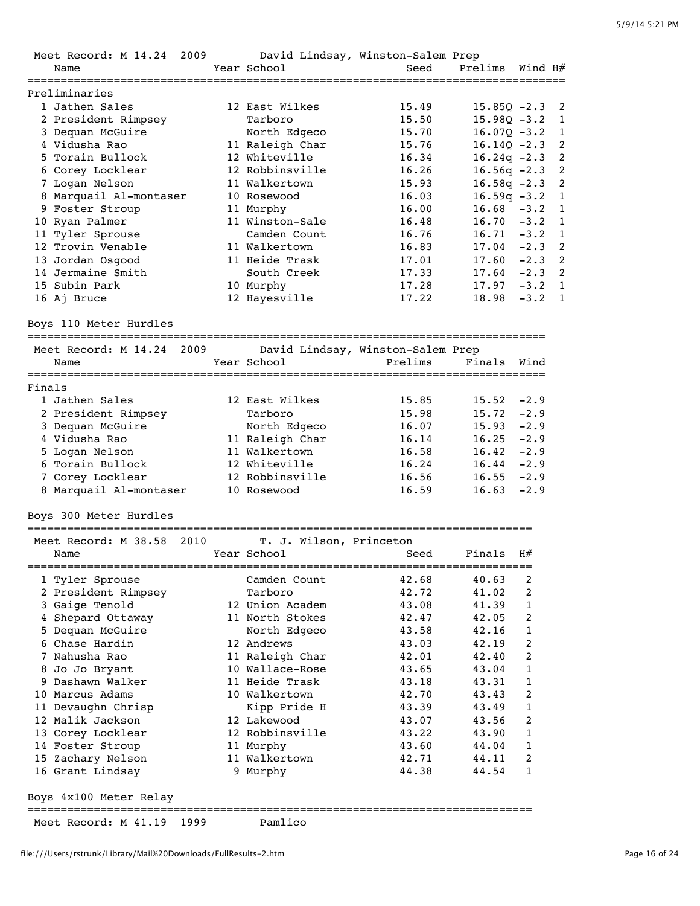|        | Meet Record: M 14.24   | 2009 |                         | David Lindsay, Winston-Salem Prep |                |              |                |
|--------|------------------------|------|-------------------------|-----------------------------------|----------------|--------------|----------------|
|        | Name                   |      | Year School             | Seed                              | Prelims        | Wind H#      |                |
|        |                        |      |                         |                                   |                |              |                |
|        | Preliminaries          |      |                         |                                   |                |              |                |
|        | 1 Jathen Sales         |      | 12 East Wilkes          | 15.49                             | $15.85Q -2.3$  |              | 2              |
|        | 2 President Rimpsey    |      | Tarboro                 | 15.50                             | $15.980 - 3.2$ |              | 1              |
|        | 3 Dequan McGuire       |      | North Edgeco            | 15.70                             | $16.07Q - 3.2$ |              | 1              |
|        | 4 Vidusha Rao          |      | 11 Raleigh Char         | 15.76                             | $16.14Q - 2.3$ |              | 2              |
|        | 5 Torain Bullock       |      | 12 Whiteville           | 16.34                             | $16.24q -2.3$  |              | $\overline{c}$ |
|        | 6 Corey Locklear       |      | 12 Robbinsville         | 16.26                             | $16.56q -2.3$  |              | 2              |
|        | 7 Logan Nelson         |      | 11 Walkertown           | 15.93                             | $16.58q -2.3$  |              | 2              |
|        | 8 Marquail Al-montaser |      | 10 Rosewood             | 16.03                             | $16.59q -3.2$  |              | 1              |
|        | 9 Foster Stroup        |      | 11 Murphy               | 16.00                             | 16.68          | $-3.2$       | 1              |
|        | 10 Ryan Palmer         |      | 11 Winston-Sale         | 16.48                             | $16.70 - 3.2$  |              | 1              |
|        | 11 Tyler Sprouse       |      | Camden Count            | 16.76                             | 16.71          | $-3.2$       | 1              |
|        | 12 Trovin Venable      |      | 11 Walkertown           | 16.83                             | 17.04          | $-2.3$       | 2              |
|        |                        |      | 11 Heide Trask          |                                   |                | $-2.3$       |                |
|        | 13 Jordan Osgood       |      |                         | 17.01                             | 17.60          |              | 2              |
|        | 14 Jermaine Smith      |      | South Creek             | 17.33                             | 17.64          | $-2.3$       | 2              |
|        | 15 Subin Park          |      | 10 Murphy               | 17.28                             | 17.97          | $-3.2$       | 1              |
|        | 16 Aj Bruce            |      | 12 Hayesville           | 17.22                             | 18.98          | $-3.2$       | $\mathbf{1}$   |
|        | Boys 110 Meter Hurdles |      |                         |                                   |                |              |                |
|        | Meet Record: M 14.24   | 2009 |                         | David Lindsay, Winston-Salem Prep |                |              |                |
|        | Name                   |      | Year School             | Prelims                           | Finals         | Wind         |                |
|        |                        |      |                         |                                   |                |              |                |
| Finals |                        |      |                         |                                   |                |              |                |
|        | 1 Jathen Sales         |      | 12 East Wilkes          | 15.85                             | $15.52 -2.9$   |              |                |
|        | 2 President Rimpsey    |      | Tarboro                 | 15.98                             | 15.72          | $-2.9$       |                |
|        | 3 Dequan McGuire       |      | North Edgeco            | 16.07                             | 15.93          | $-2.9$       |                |
|        | 4 Vidusha Rao          |      | 11 Raleigh Char         | 16.14                             | 16.25          | $-2.9$       |                |
|        | 5 Logan Nelson         |      | 11 Walkertown           | 16.58                             | 16.42          | $-2.9$       |                |
|        | 6 Torain Bullock       |      | 12 Whiteville           | 16.24                             | 16.44          | $-2.9$       |                |
|        | 7 Corey Locklear       |      | 12 Robbinsville         | 16.56                             | 16.55          | $-2.9$       |                |
|        | 8 Marquail Al-montaser |      | 10 Rosewood             | 16.59                             | 16.63          | $-2.9$       |                |
|        | Boys 300 Meter Hurdles |      |                         |                                   |                |              |                |
|        |                        |      |                         |                                   |                |              |                |
|        | Meet Record: M 38.58   | 2010 | T. J. Wilson, Princeton |                                   |                |              |                |
|        | Name                   |      | Year School             | Seed                              | Finals         | H#           |                |
|        |                        |      |                         |                                   |                |              |                |
|        | 1 Tyler Sprouse        |      | Camden Count            | 42.68                             | 40.63          | 2            |                |
|        | 2 President Rimpsey    |      | Tarboro                 | 42.72                             | 41.02          | 2            |                |
|        | 3 Gaige Tenold         |      | 12 Union Academ         | 43.08                             | 41.39          | 1            |                |
|        | 4 Shepard Ottaway      |      | 11 North Stokes         | 42.47                             | 42.05          | 2            |                |
|        | 5 Dequan McGuire       |      | North Edgeco            | 43.58                             | 42.16          | 1            |                |
|        | 6 Chase Hardin         |      | 12 Andrews              | 43.03                             | 42.19          | 2            |                |
|        | 7 Nahusha Rao          |      | 11 Raleigh Char         | 42.01                             | 42.40          | 2            |                |
|        | 8 Jo Jo Bryant         |      | 10 Wallace-Rose         | 43.65                             | 43.04          | 1            |                |
|        | 9 Dashawn Walker       |      | 11 Heide Trask          | 43.18                             | 43.31          | $\mathbf{1}$ |                |
|        | 10 Marcus Adams        |      | 10 Walkertown           | 42.70                             | 43.43          | 2            |                |
|        | 11 Devaughn Chrisp     |      | Kipp Pride H            | 43.39                             | 43.49          | 1            |                |
|        | 12 Malik Jackson       |      | 12 Lakewood             | 43.07                             | 43.56          | 2            |                |
|        | 13 Corey Locklear      |      | 12 Robbinsville         | 43.22                             | 43.90          | 1            |                |
|        | 14 Foster Stroup       |      | 11 Murphy               | 43.60                             | 44.04          | 1            |                |
|        | 15 Zachary Nelson      |      | 11 Walkertown           | 42.71                             | 44.11          | 2            |                |
|        | 16 Grant Lindsay       |      | 9 Murphy                | 44.38                             | 44.54          | 1            |                |
|        |                        |      |                         |                                   |                |              |                |
|        | Boys 4x100 Meter Relay |      |                         |                                   |                |              |                |
|        | Meet Record: M 41.19   | 1999 | Pamlico                 |                                   |                |              |                |

file:///Users/rstrunk/Library/Mail%20Downloads/FullResults-2.htm Page 16 of 24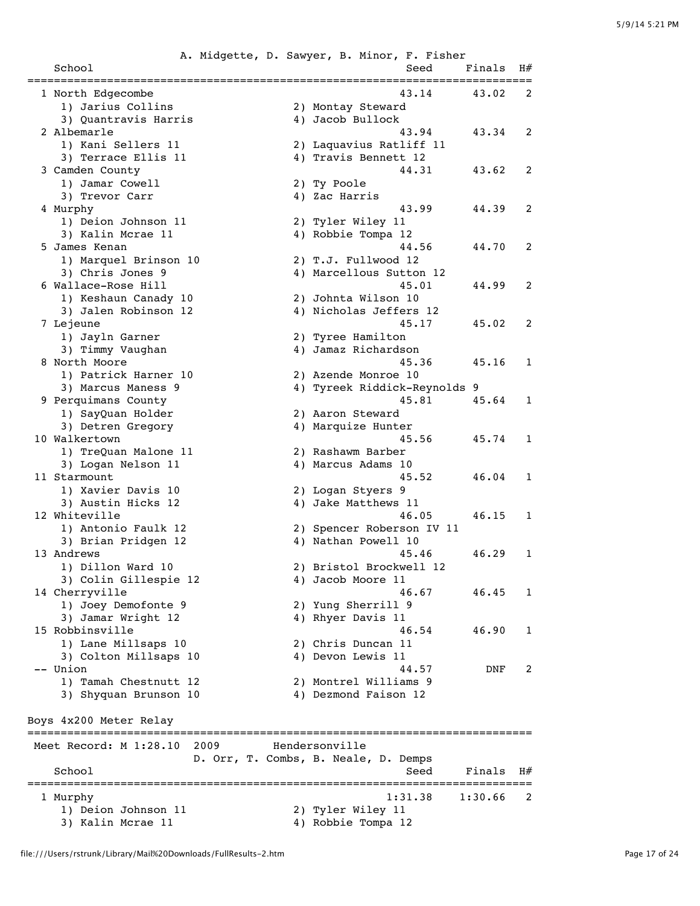|                                             |      | A. Midgette, D. Sawyer, B. Minor, F. Fisher   |                           |         |              |
|---------------------------------------------|------|-----------------------------------------------|---------------------------|---------|--------------|
| School                                      |      |                                               | Seed                      | Finals  | H#           |
| 1 North Edgecombe                           |      |                                               | 43.14                     | 43.02   | 2            |
| 1) Jarius Collins                           |      | 2) Montay Steward                             |                           |         |              |
| 3) Quantravis Harris                        |      | 4) Jacob Bullock                              |                           |         |              |
| 2 Albemarle                                 |      |                                               | 43.94                     | 43.34   | 2            |
| 1) Kani Sellers 11                          |      | 2) Laquavius Ratliff 11                       |                           |         |              |
| 3) Terrace Ellis 11                         |      | 4) Travis Bennett 12                          |                           |         |              |
| 3 Camden County                             |      |                                               | 44.31                     | 43.62   | 2            |
| 1) Jamar Cowell                             |      | 2) Ty Poole                                   |                           |         |              |
| 3) Trevor Carr                              |      | 4) Zac Harris                                 |                           |         |              |
| 4 Murphy                                    |      |                                               | 43.99                     | 44.39   | 2            |
| 1) Deion Johnson 11                         |      | 2) Tyler Wiley 11                             |                           |         |              |
| 3) Kalin Mcrae 11                           |      | 4) Robbie Tompa 12                            |                           |         |              |
| 5 James Kenan                               |      |                                               | 44.56                     | 44.70   | 2            |
| 1) Marquel Brinson 10                       |      | 2) T.J. Fullwood 12                           |                           |         |              |
| 3) Chris Jones 9                            |      | 4) Marcellous Sutton 12                       |                           |         |              |
| 6 Wallace-Rose Hill<br>1) Keshaun Canady 10 |      |                                               | 45.01                     | 44.99   | 2            |
| 3) Jalen Robinson 12                        |      | 2) Johnta Wilson 10<br>4) Nicholas Jeffers 12 |                           |         |              |
| 7 Lejeune                                   |      |                                               | 45.17                     | 45.02   | 2            |
| 1) Jayln Garner                             |      | 2) Tyree Hamilton                             |                           |         |              |
| 3) Timmy Vaughan                            |      | 4) Jamaz Richardson                           |                           |         |              |
| 8 North Moore                               |      |                                               | 45.36                     | 45.16   | 1            |
| 1) Patrick Harner 10                        |      | 2) Azende Monroe 10                           |                           |         |              |
| 3) Marcus Maness 9                          |      | 4) Tyreek Riddick-Reynolds 9                  |                           |         |              |
| 9 Perquimans County                         |      |                                               | 45.81                     | 45.64   | 1            |
| 1) SayQuan Holder                           |      | 2) Aaron Steward                              |                           |         |              |
| 3) Detren Gregory                           |      | 4) Marquize Hunter                            |                           |         |              |
| 10 Walkertown                               |      |                                               | 45.56                     | 45.74   | $\mathbf{1}$ |
| 1) TreQuan Malone 11                        |      | 2) Rashawm Barber                             |                           |         |              |
| 3) Logan Nelson 11                          |      | 4) Marcus Adams 10                            |                           |         |              |
| 11 Starmount                                |      |                                               | 45.52                     | 46.04   | 1            |
| 1) Xavier Davis 10                          |      | 2) Logan Styers 9                             |                           |         |              |
| 3) Austin Hicks 12                          |      | 4) Jake Matthews 11                           |                           |         |              |
| 12 Whiteville                               |      |                                               | 46.05                     | 46.15   | 1            |
| 1) Antonio Faulk 12                         |      | 2) Spencer Roberson IV 11                     |                           |         |              |
| 3) Brian Pridgen 12                         |      | 4) Nathan Powell 10                           |                           |         |              |
| 13 Andrews                                  |      |                                               | 45.46                     | 46.29   | 1            |
| 1) Dillon Ward 10                           |      | 2) Bristol Brockwell 12                       |                           |         |              |
| 3) Colin Gillespie 12<br>14 Cherryville     |      | 4) Jacob Moore 11                             | 46.67                     | 46.45   | 1            |
| 1) Joey Demofonte 9                         |      | 2) Yung Sherrill 9                            |                           |         |              |
| 3) Jamar Wright 12                          |      | 4) Rhyer Davis 11                             |                           |         |              |
| 15 Robbinsville                             |      |                                               | 46.54                     | 46.90   | 1            |
| 1) Lane Millsaps 10                         |      | 2) Chris Duncan 11                            |                           |         |              |
| 3) Colton Millsaps 10                       |      | 4) Devon Lewis 11                             |                           |         |              |
| -- Union                                    |      |                                               | 44.57                     | DNF     | 2            |
| 1) Tamah Chestnutt 12                       |      | 2) Montrel Williams 9                         |                           |         |              |
| 3) Shyquan Brunson 10                       |      | 4) Dezmond Faison 12                          |                           |         |              |
|                                             |      |                                               |                           |         |              |
| Boys 4x200 Meter Relay                      |      |                                               |                           |         |              |
| ================================            |      |                                               | ========================= |         |              |
| Meet Record: M 1:28.10                      | 2009 | Hendersonville                                |                           |         |              |
|                                             |      | D. Orr, T. Combs, B. Neale, D. Demps          |                           |         |              |
| School                                      |      |                                               | Seed                      | Finals  | H#           |
| l Murphy                                    |      |                                               | 1:31.38                   | 1:30.66 | 2            |
| 1) Deion Johnson 11                         |      | 2) Tyler Wiley 11                             |                           |         |              |
| 3) Kalin Mcrae 11                           |      | 4) Robbie Tompa 12                            |                           |         |              |
|                                             |      |                                               |                           |         |              |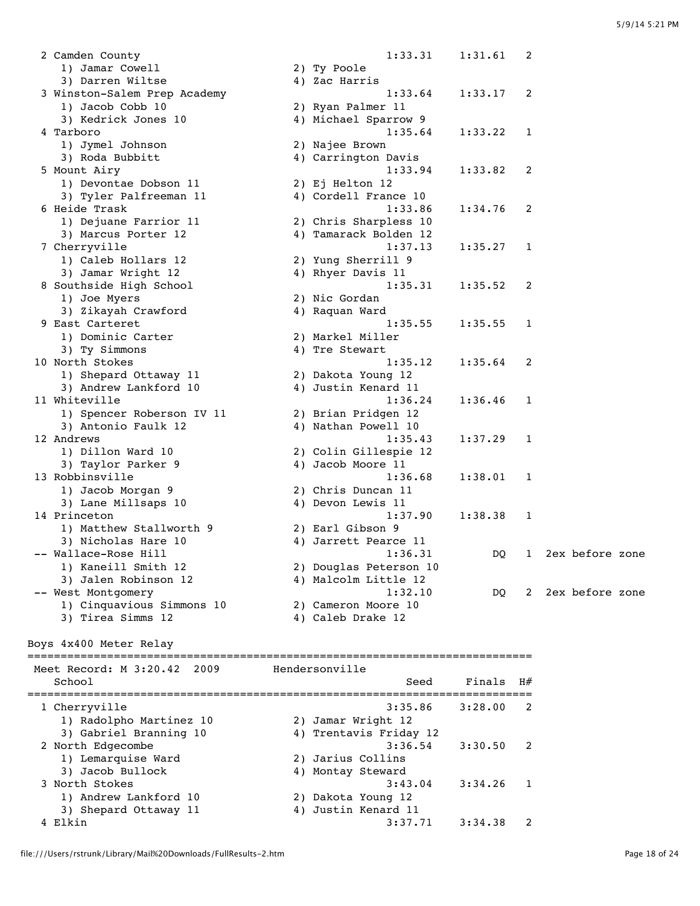2 Camden County 1:33.31 1:31.61 2 1) Jamar Cowell 2) Ty Poole 3) Darren Wiltse  $\begin{array}{ccc} 4 & 2a & 4 \end{array}$  3 Winston-Salem Prep Academy 1:33.64 1:33.17 2 1) Jacob Cobb 10 2) Ryan Palmer 11 3) Kedrick Jones 10 4) Michael Sparrow 9 4 Tarboro 1:35.64 1:33.22 1 1) Jymel Johnson 2) Najee Brown 3) Roda Bubbitt 4) Carrington Davis 5 Mount Airy 1:33.94 1:33.82 2 1) Devontae Dobson 11 2) Ej Helton 12 3) Tyler Palfreeman 11 4) Cordell France 10 6 Heide Trask 1:33.86 1:34.76 2 1) Dejuane Farrior 11 2) Chris Sharpless 10 3) Marcus Porter 12 4) Tamarack Bolden 12 7 Cherryville 1:37.13 1:35.27 1 1) Caleb Hollars 12 2) Yung Sherrill 9 3) Jamar Wright 12 4) Rhyer Davis 11 8 Southside High School 1:35.31 1:35.52 2 1) Joe Myers 2) Nic Gordan 3) Zikayah Crawford 9 East Carteret 1:35.55 1:35.55 1 1) Dominic Carter 2) Markel Miller 3) Ty Simmons and the stewart of the Stewart 10 North Stokes 1:35.12 1:35.64 2 1) Shepard Ottaway 11 2) Dakota Young 12 3) Andrew Lankford 10  $\hskip1cm \hskip1cm 4$  Justin Kenard 11 11 Whiteville 1:36.24 1:36.46 1 1) Spencer Roberson IV 11 2) Brian Pridgen 12 3) Antonio Faulk 12 (4) Nathan Powell 10 12 Andrews 1:35.43 1:37.29 1 1) Dillon Ward 10 2) Colin Gillespie 12 3) Taylor Parker 9 4) Jacob Moore 11 13 Robbinsville 1:36.68 1:38.01 1 1) Jacob Morgan 9 2) Chris Duncan 11 3) Lane Millsaps 10 4) Devon Lewis 11 14 Princeton 1:37.90 1:38.38 1 1) Matthew Stallworth 9 2) Earl Gibson 9 3) Nicholas Hare 10 4) Jarrett Pearce 11 -- Wallace-Rose Hill 1:36.31 DQ 1 2ex before zone 1) Kaneill Smith 12 2) Douglas Peterson 10 3) Jalen Robinson 12 4) Malcolm Little 12 -- West Montgomery 1:32.10 DQ 2 2ex before zone 1) Cinquavious Simmons 10 2) Cameron Moore 10 3) Tirea Simms 12 4) Caleb Drake 12

Boys 4x400 Meter Relay

============================================================================

| Meet Record: M 3:20.42 2009 | Hendersonville         |         |    |
|-----------------------------|------------------------|---------|----|
| School                      | Seed                   | Finals  | H# |
| 1 Cherryville               | 3:35.86                | 3:28.00 | 2  |
| 1) Radolpho Martinez 10     | 2) Jamar Wright 12     |         |    |
| 3) Gabriel Branning 10      | 4) Trentavis Friday 12 |         |    |
| 2 North Edgecombe           | 3:36.54                | 3:30.50 | 2  |
| 1) Lemarquise Ward          | 2) Jarius Collins      |         |    |
| 3) Jacob Bullock            | 4) Montay Steward      |         |    |
| 3 North Stokes              | 3:43.04                | 3:34.26 |    |
| 1) Andrew Lankford 10       | 2) Dakota Young 12     |         |    |
| 3) Shepard Ottaway 11       | 4) Justin Kenard 11    |         |    |
| Elkin                       | 3:37.71                | 3:34.38 |    |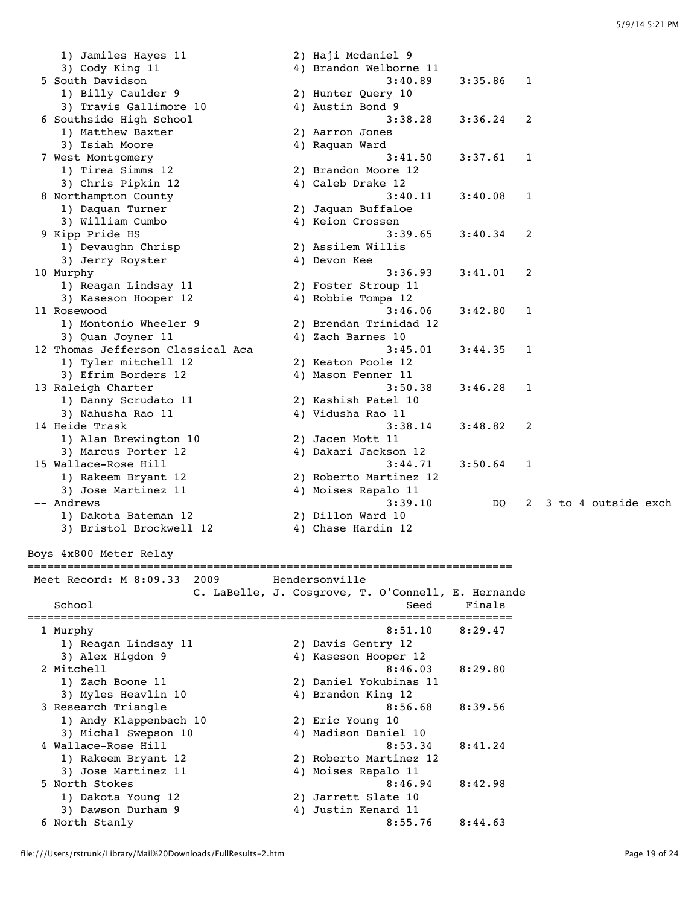| 1) Jamiles Hayes 11               | 2) Haji Mcdaniel 9                                 |                |   |                     |  |
|-----------------------------------|----------------------------------------------------|----------------|---|---------------------|--|
| 3) Cody King 11                   | 4) Brandon Welborne 11                             |                |   |                     |  |
| 5 South Davidson                  | 3:40.89                                            | 3:35.86        | 1 |                     |  |
| 1) Billy Caulder 9                | 2) Hunter Query 10                                 |                |   |                     |  |
| 3) Travis Gallimore 10            | 4) Austin Bond 9                                   |                |   |                     |  |
| 6 Southside High School           | 3:38.28                                            | 3:36.24        | 2 |                     |  |
| 1) Matthew Baxter                 | 2) Aarron Jones                                    |                |   |                     |  |
| 3) Isiah Moore                    | 4) Raquan Ward                                     |                |   |                     |  |
| 7 West Montgomery                 | 3:41.50                                            | 3:37.61        | 1 |                     |  |
| 1) Tirea Simms 12                 | 2) Brandon Moore 12                                |                |   |                     |  |
| 3) Chris Pipkin 12                | 4) Caleb Drake 12                                  |                |   |                     |  |
| 8 Northampton County              | 3:40.11                                            | 3:40.08        | 1 |                     |  |
| 1) Daquan Turner                  | 2) Jaquan Buffaloe                                 |                |   |                     |  |
| 3) William Cumbo                  | 4) Keion Crossen                                   |                |   |                     |  |
| 9 Kipp Pride HS                   | 3:39.65                                            | 3:40.34        | 2 |                     |  |
| 1) Devaughn Chrisp                | 2) Assilem Willis                                  |                |   |                     |  |
| 3) Jerry Royster                  | 4) Devon Kee                                       |                |   |                     |  |
| 10 Murphy                         | 3:36.93                                            | 3:41.01        | 2 |                     |  |
| 1) Reagan Lindsay 11              | 2) Foster Stroup 11                                |                |   |                     |  |
| 3) Kaseson Hooper 12              | 4) Robbie Tompa 12                                 |                |   |                     |  |
| 11 Rosewood                       | 3:46.06                                            | 3:42.80        | 1 |                     |  |
| 1) Montonio Wheeler 9             | 2) Brendan Trinidad 12                             |                |   |                     |  |
| 3) Quan Joyner 11                 | 4) Zach Barnes 10                                  |                |   |                     |  |
| 12 Thomas Jefferson Classical Aca | 3:45.01                                            | 3:44.35        | 1 |                     |  |
| 1) Tyler mitchell 12              | 2) Keaton Poole 12                                 |                |   |                     |  |
| 3) Efrim Borders 12               | 4) Mason Fenner 11                                 |                |   |                     |  |
| 13 Raleigh Charter                | 3:50.38                                            | 3:46.28        | 1 |                     |  |
| 1) Danny Scrudato 11              | 2) Kashish Patel 10                                |                |   |                     |  |
| 3) Nahusha Rao 11                 | 4) Vidusha Rao 11                                  |                |   |                     |  |
| 14 Heide Trask                    | 3:38.14                                            | 3:48.82        | 2 |                     |  |
| 1) Alan Brewington 10             | 2) Jacen Mott 11                                   |                |   |                     |  |
| 3) Marcus Porter 12               | 4) Dakari Jackson 12                               |                |   |                     |  |
| 15 Wallace-Rose Hill              | 3:44.71                                            | 3:50.64        | 1 |                     |  |
| 1) Rakeem Bryant 12               | 2) Roberto Martinez 12                             |                |   |                     |  |
| 3) Jose Martinez 11               | 4) Moises Rapalo 11                                |                |   |                     |  |
| -- Andrews                        | 3:39.10                                            | DQ             | 2 | 3 to 4 outside exch |  |
| 1) Dakota Bateman 12              | 2) Dillon Ward 10                                  |                |   |                     |  |
| 3) Bristol Brockwell 12           | 4) Chase Hardin 12                                 |                |   |                     |  |
|                                   |                                                    |                |   |                     |  |
| Boys 4x800 Meter Relay            |                                                    |                |   |                     |  |
|                                   |                                                    |                |   |                     |  |
| Meet Record: M 8:09.33 2009       | Hendersonville                                     |                |   |                     |  |
|                                   | C. LaBelle, J. Cosgrove, T. O'Connell, E. Hernande |                |   |                     |  |
| School                            | Seed                                               | Finals         |   |                     |  |
|                                   |                                                    | ============== |   |                     |  |
| 1 Murphy                          | 8:51.10                                            | 8:29.47        |   |                     |  |
| 1) Reagan Lindsay 11              | 2) Davis Gentry 12                                 |                |   |                     |  |
| 3) Alex Higdon 9                  | 4) Kaseson Hooper 12                               |                |   |                     |  |
| 2 Mitchell                        | 8:46.03                                            | 8:29.80        |   |                     |  |
| 1) Zach Boone 11                  | 2) Daniel Yokubinas 11                             |                |   |                     |  |
| 3) Myles Heavlin 10               | 4) Brandon King 12                                 |                |   |                     |  |
| 3 Research Triangle               | 8:56.68                                            | 8:39.56        |   |                     |  |
| 1) Andy Klappenbach 10            | 2) Eric Young 10                                   |                |   |                     |  |

| 3 Research Triangle    | 8:56.68                | 8:39.56 |
|------------------------|------------------------|---------|
| 1) Andy Klappenbach 10 | 2) Eric Young 10       |         |
| 3) Michal Swepson 10   | 4) Madison Daniel 10   |         |
| 4 Wallace-Rose Hill    | 8:53.34                | 8:41.24 |
| 1) Rakeem Bryant 12    | 2) Roberto Martinez 12 |         |
| 3) Jose Martinez 11    | 4) Moises Rapalo 11    |         |
| 5 North Stokes         | 8:46.94                | 8:42.98 |
| 1) Dakota Young 12     | 2) Jarrett Slate 10    |         |
| 3) Dawson Durham 9     | 4) Justin Kenard 11    |         |
| 6 North Stanly         | 8:55.76                | 8:44.63 |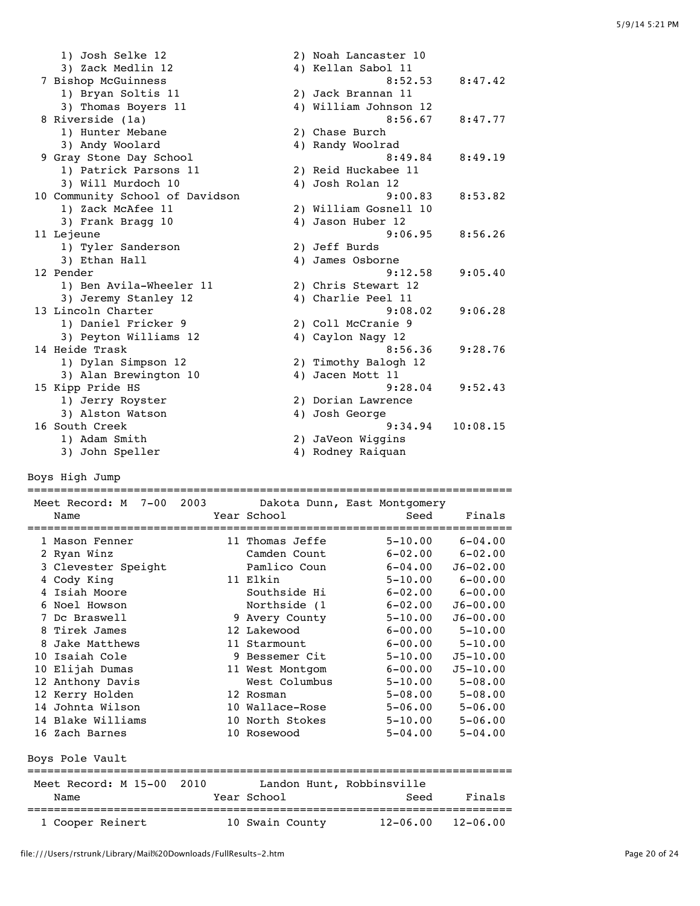| 1) Josh Selke 12                | 2) Noah Lancaster 10  |          |
|---------------------------------|-----------------------|----------|
| 3) Zack Medlin 12               | 4) Kellan Sabol 11    |          |
| 7 Bishop McGuinness             | 8:52.53               | 8:47.42  |
| 1) Bryan Soltis 11              | 2) Jack Brannan 11    |          |
| 3) Thomas Boyers 11             | 4) William Johnson 12 |          |
| 8 Riverside (1a)                | 8:56.67               | 8:47.77  |
| 1) Hunter Mebane                | 2) Chase Burch        |          |
| 3) Andy Woolard                 | 4) Randy Woolrad      |          |
| 9 Gray Stone Day School         | 8:49.84               | 8:49.19  |
| 1) Patrick Parsons 11           | 2) Reid Huckabee 11   |          |
| 3) Will Murdoch 10              | 4) Josh Rolan 12      |          |
| 10 Community School of Davidson | 9:00.83               | 8:53.82  |
| 1) Zack McAfee 11               | 2) William Gosnell 10 |          |
| 3) Frank Bragg 10               | 4) Jason Huber 12     |          |
| 11 Lejeune                      | 9:06.95               | 8:56.26  |
| 1) Tyler Sanderson              | 2) Jeff Burds         |          |
| 3) Ethan Hall                   | 4) James Osborne      |          |
| 12 Pender                       | 9:12.58               | 9:05.40  |
| 1) Ben Avila-Wheeler 11         | 2) Chris Stewart 12   |          |
| 3) Jeremy Stanley 12            | 4) Charlie Peel 11    |          |
| 13 Lincoln Charter              | 9:08.02               | 9:06.28  |
| 1) Daniel Fricker 9             | 2) Coll McCranie 9    |          |
| 3) Peyton Williams 12           | 4) Caylon Nagy 12     |          |
| 14 Heide Trask                  | 8:56.36               | 9:28.76  |
| 1) Dylan Simpson 12             | 2) Timothy Balogh 12  |          |
| 3) Alan Brewington 10           | 4) Jacen Mott 11      |          |
| 15 Kipp Pride HS                | 9:28.04               | 9:52.43  |
| 1) Jerry Royster                | 2) Dorian Lawrence    |          |
| 3) Alston Watson                | 4) Josh George        |          |
| 16 South Creek                  | 9:34.94               | 10:08.15 |
| 1) Adam Smith                   | 2) JaVeon Wiggins     |          |
| 3) John Speller                 | 4) Rodney Raiquan     |          |

Boys High Jump

| Meet Record: M 7-00 2003 Dakota Dunn, East Montgomery<br>Name | Year School               | Seed                    | Finals       |
|---------------------------------------------------------------|---------------------------|-------------------------|--------------|
|                                                               | ===============           |                         |              |
| 1 Mason Fenner                                                | 11 Thomas Jeffe           | $5 - 10.00$             | $6 - 04.00$  |
| 2 Ryan Winz                                                   | Camden Count              | $6 - 02.00$             | $6 - 02.00$  |
| 3 Clevester Speight                                           | Pamlico Coun              | $6 - 04.00$             | $J6 - 02.00$ |
| 4 Cody King                                                   | 11 Elkin                  | $5 - 10.00$             | $6 - 00.00$  |
| 4 Isiah Moore                                                 | Southside Hi              | $6 - 02.00$ $6 - 00.00$ |              |
| 6 Noel Howson                                                 | Northside (1              | $6 - 02.00$             | $J6 - 00.00$ |
| 7 Dc Braswell                                                 | 9 Avery County            | $5 - 10.00$             | $J6 - 00.00$ |
| 8 Tirek James                                                 | 12 Lakewood               | $6 - 00.00$ $5 - 10.00$ |              |
| 8 Jake Matthews                                               | 11 Starmount              | $6 - 00.00$             | $5 - 10.00$  |
| 10 Isaiah Cole                                                | 9 Bessemer Cit            | $5 - 10.00$             | $J5 - 10.00$ |
| 10 Elijah Dumas                                               | 11 West Montgom           | $6 - 00.00$             | $J5 - 10.00$ |
| 12 Anthony Davis                                              | West Columbus             | $5 - 10.00$             | $5 - 08.00$  |
| 12 Kerry Holden                                               | 12 Rosman                 | $5 - 08.00$             | $5 - 08.00$  |
| 14 Johnta Wilson                                              | 10 Wallace-Rose           | $5 - 06.00$             | $5 - 06.00$  |
| 14 Blake Williams                                             | 10 North Stokes           | $5 - 10.00$             | $5 - 06.00$  |
| 16 Zach Barnes                                                | 10 Rosewood               | $5 - 04.00$             | $5 - 04.00$  |
| Boys Pole Vault<br>====================                       |                           |                         |              |
| Meet Record: M 15-00 2010                                     | Landon Hunt, Robbinsville |                         |              |
| Name                                                          | Year School               | Seed                    | Finals       |
| 1 Cooper Reinert                                              | 10 Swain County           | 12-06.00                | $12 - 06.00$ |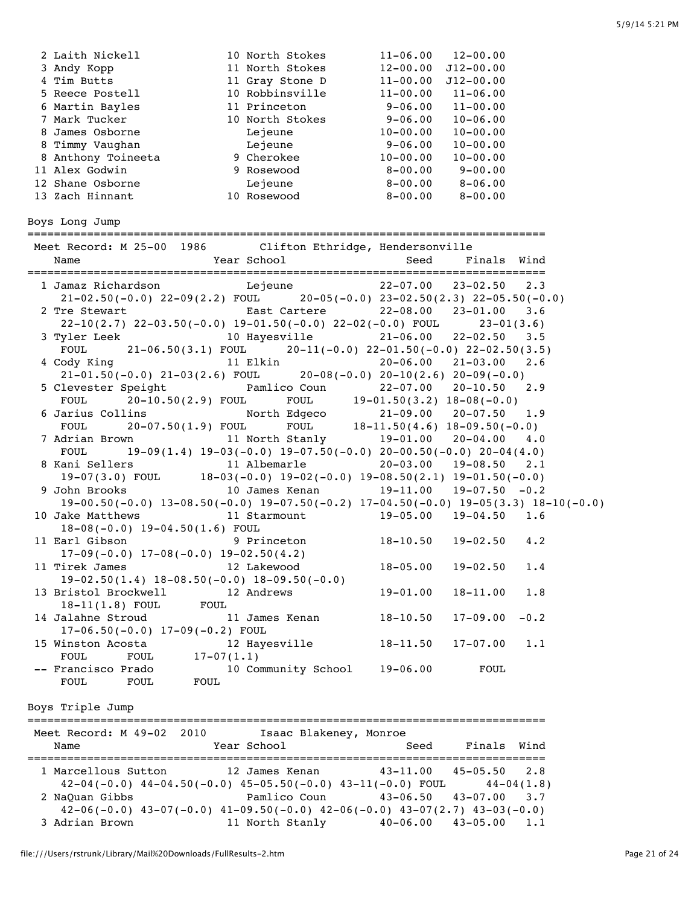| 2 Laith Nickell    | 10 North Stokes | $11 - 06.00$ | $12 - 00.00$  |
|--------------------|-----------------|--------------|---------------|
| 3 Andy Kopp        | 11 North Stokes | $12 - 00.00$ | $J12 - 00.00$ |
| 4 Tim Butts        | 11 Gray Stone D | $11 - 00.00$ | $J12 - 00.00$ |
| 5 Reece Postell    | 10 Robbinsville | $11 - 00.00$ | $11 - 06.00$  |
| 6 Martin Bayles    | 11 Princeton    | $9 - 06.00$  | $11 - 00.00$  |
| 7 Mark Tucker      | 10 North Stokes | $9 - 06.00$  | $10 - 06.00$  |
| 8 James Osborne    | Lejeune         | $10 - 00.00$ | $10 - 00.00$  |
| 8 Timmy Vaughan    | Lejeune         | $9 - 06.00$  | $10 - 00.00$  |
| 8 Anthony Toineeta | 9 Cherokee      | $10 - 00.00$ | $10 - 00.00$  |
| 11 Alex Godwin     | 9 Rosewood      | $8 - 00.00$  | $9 - 00.00$   |
| 12 Shane Osborne   | Lejeune         | $8 - 00.00$  | $8 - 06.00$   |
| 13 Zach Hinnant    | 10 Rosewood     | $8 - 00.00$  | $8 - 00.00$   |

Boys Long Jump

============================================================================== Meet Record: M 25-00 1986 Clifton Ethridge, Hendersonville Name Year School Seed Finals Wind ============================================================================== 1 Jamaz Richardson Lejeune 22-07.00 23-02.50 2.3 21-02.50(-0.0) 22-09(2.2) FOUL 20-05(-0.0) 23-02.50(2.3) 22-05.50(-0.0) 2 Tre Stewart East Cartere 22-08.00 23-01.00 3.6 22-10(2.7) 22-03.50(-0.0) 19-01.50(-0.0) 22-02(-0.0) FOUL 23-01(3.6) 3 Tyler Leek 10 Hayesville 21-06.00 22-02.50 3.5 FOUL  $21-06.50(3.1)$  FOUL  $20-11(-0.0)$   $22-01.50(-0.0)$   $22-02.50(3.5)$  4 Cody King 11 Elkin 20-06.00 21-03.00 2.6  $20-08(-0.0)$   $20-10(2.6)$   $20-09(-0.0)$  5 Clevester Speight Pamlico Coun 22-07.00 20-10.50 2.9 FOUL 20-10.50(2.9) FOUL FOUL 19-01.50(3.2) 18-08(-0.0) 6 Jarius Collins North Edgeco 21-09.00 20-07.50 1.9 FOUL 20-07.50(1.9) FOUL FOUL 18-11.50(4.6) 18-09.50(-0.0) 7 Adrian Brown 11 North Stanly 19-01.00 20-04.00 4.0 FOUL  $19-09(1.4) 19-03(-0.0) 19-07.50(-0.0) 20-00.50(-0.0) 20-04(4.0)$  8 Kani Sellers 11 Albemarle 20-03.00 19-08.50 2.1 19-07(3.0) FOUL 18-03(-0.0) 19-02(-0.0) 19-08.50(2.1) 19-01.50(-0.0) 9 John Brooks 10 James Kenan 19-11.00 19-07.50 -0.2 19-00.50(-0.0) 13-08.50(-0.0) 19-07.50(-0.2) 17-04.50(-0.0) 19-05(3.3) 18-10(-0.0) 10 Jake Matthews 11 Starmount 19-05.00 19-04.50 1.6 18-08(-0.0) 19-04.50(1.6) FOUL 11 Earl Gibson 9 Princeton 18-10.50 19-02.50 4.2  $17-09(-0.0)$   $17-08(-0.0)$   $19-02.50(4.2)$  11 Tirek James 12 Lakewood 18-05.00 19-02.50 1.4 19-02.50(1.4) 18-08.50(-0.0) 18-09.50(-0.0) 13 Bristol Brockwell 12 Andrews 19-01.00 18-11.00 1.8 18-11(1.8) FOUL FOUL 14 Jalahne Stroud 11 James Kenan 18-10.50 17-09.00 -0.2 17-06.50(-0.0) 17-09(-0.2) FOUL 15 Winston Acosta 12 Hayesville 18-11.50 17-07.00 1.1 FOUL FOUL 17-07(1.1) -- Francisco Prado 10 Community School 19-06.00 FOUL FOUL FOUL FOUL Boys Triple Jump

| Name | Meet Record: M 49-02 2010 | Isaac Blakeney, Monroe<br>Year School                                                                 | Seed                            | Finals Wind  |                  |
|------|---------------------------|-------------------------------------------------------------------------------------------------------|---------------------------------|--------------|------------------|
|      | 1 Marcellous Sutton       | 12 James Kenan<br>$42-04(-0.0)$ $44-04.50(-0.0)$ $45-05.50(-0.0)$ $43-11(-0.0)$ FOUL $44-04(1.8)$     | $43 - 11.00$                    | 45-05.50 2.8 |                  |
|      | 2 NaQuan Gibbs            | Pamlico Coun<br>$42-06(-0.0)$ $43-07(-0.0)$ $41-09.50(-0.0)$ $42-06(-0.0)$ $43-07(2.7)$ $43-03(-0.0)$ | $43 - 06.50$ $43 - 07.00$       |              | $\overline{3.7}$ |
|      | 3 Adrian Brown            | 11 North Stanly                                                                                       | $40 - 06.00$ $43 - 05.00$ $1.1$ |              |                  |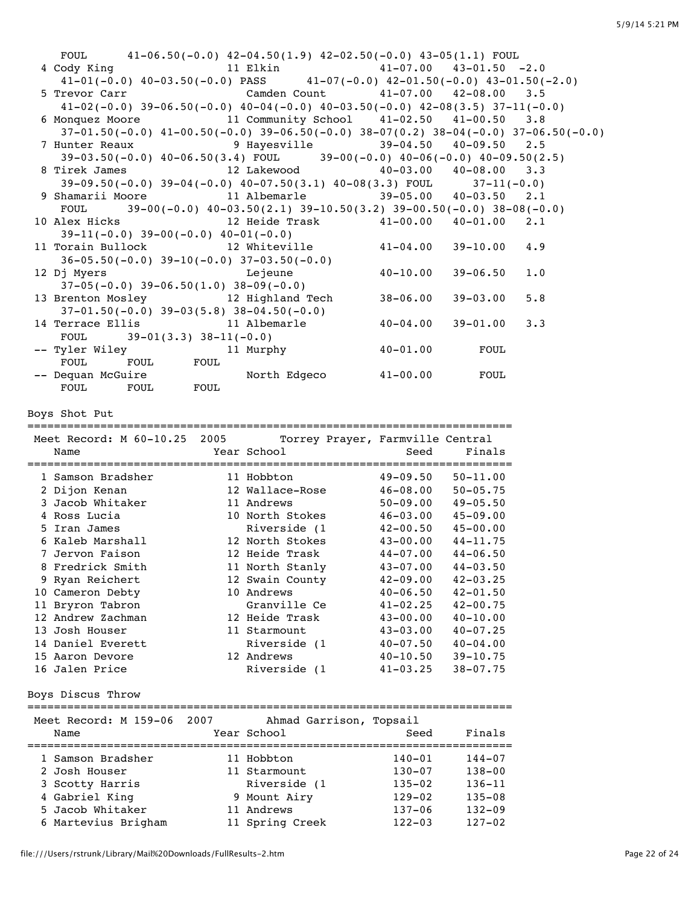| FOUL $41-06.50(-0.0)$ $42-04.50(1.9)$ $42-02.50(-0.0)$ $43-05(1.1)$ FOUL                                                                                                                                                                            |      |                                      |                              |                              |     |
|-----------------------------------------------------------------------------------------------------------------------------------------------------------------------------------------------------------------------------------------------------|------|--------------------------------------|------------------------------|------------------------------|-----|
| 4 Cody King 11 Elkin 41-07.00 43-01.50 -2.0<br>$41-01(-0.0)$ $40-03.50(-0.0)$ PASS $41-07(-0.0)$ $42-01.50(-0.0)$ $43-01.50(-2.0)$                                                                                                                  |      |                                      |                              |                              |     |
| 5 Trevor Carr Cample Camden Count 41-07.00 42-08.00 3.5                                                                                                                                                                                             |      |                                      |                              |                              |     |
| $41-02(-0.0)$ 39-06.50(-0.0) $40-04(-0.0)$ $40-03.50(-0.0)$ $42-08(3.5)$ 37-11(-0.0)                                                                                                                                                                |      |                                      |                              |                              |     |
| 6 Monquez Moore 11 Community School 41-02.50 41-00.50 3.8<br>$37-01.50(-0.0)$ $41-00.50(-0.0)$ $39-06.50(-0.0)$ $38-07(0.2)$ $38-04(-0.0)$ $37-06.50(-0.0)$                                                                                         |      |                                      |                              |                              |     |
| 7 Hunter Reaux 9 Hayesville 39-04.50 40-09.50 2.5                                                                                                                                                                                                   |      |                                      |                              |                              |     |
| 39-03.50(-0.0) $40-06.50(3.4)$ FOUL 39-00(-0.0) $40-06(-0.0)$ $40-09.50(2.5)$                                                                                                                                                                       |      |                                      |                              |                              |     |
| 8 Tirek James 12 Lakewood 40-03.00 40-08.00 3.3<br>39-09.50(-0.0) 39-04(-0.0) 40-07.50(3.1) 40-08(3.3) FOUL 37-11(-0.0)<br>9 Shamarii Moore 11 Albemarle 39-05.00 40-03.50 2.1                                                                      |      |                                      |                              |                              |     |
|                                                                                                                                                                                                                                                     |      |                                      |                              |                              |     |
|                                                                                                                                                                                                                                                     |      |                                      |                              |                              |     |
| FOUL $39-00(-0.0)$ $40-03.50(2.1)$ $39-10.50(3.2)$ $39-00.50(-0.0)$ $38-08(-0.0)$<br>10 Alex Hicks                                                                                                                                                  |      | 12 Heide Trask 41-00.00 40-01.00 2.1 |                              |                              |     |
| $39-11(-0.0)$ $39-00(-0.0)$ $40-01(-0.0)$                                                                                                                                                                                                           |      |                                      |                              |                              |     |
| 11 Torain Bullock 12 Whiteville 41-04.00 39-10.00 4.9                                                                                                                                                                                               |      |                                      |                              |                              |     |
| $36-05.50(-0.0)$ $39-10(-0.0)$ $37-03.50(-0.0)$                                                                                                                                                                                                     |      |                                      |                              |                              |     |
| <u>in the second second second second second second second second second second second second second second second second second second second second second second second second second second second second second second seco</u><br>12 Dj Myers |      |                                      | $40 - 10.00$                 | $39 - 06.50$                 | 1.0 |
| $37-05(-0.0)$ $39-06.50(1.0)$ $38-09(-0.0)$<br>13 Brenton Mosley 12 Highland Tech                                                                                                                                                                   |      |                                      | $38 - 06.00$                 | $39 - 03.00$                 | 5.8 |
| $37-01.50(-0.0)$ $39-03(5.8)$ $38-04.50(-0.0)$                                                                                                                                                                                                      |      |                                      |                              |                              |     |
| 14 Terrace Ellis 11 Albemarle                                                                                                                                                                                                                       |      |                                      | $40 - 04.00$                 | $39 - 01.00$                 | 3.3 |
| $39-01(3.3)$ $38-11(-0.0)$<br>FOUL                                                                                                                                                                                                                  |      |                                      |                              |                              |     |
|                                                                                                                                                                                                                                                     |      | 11 Murphy                            | $40 - 01.00$                 | FOUL                         |     |
|                                                                                                                                                                                                                                                     |      |                                      |                              |                              |     |
| -- Dequan McGuire Morth Edgeco 41-00.00<br>FOUL FOUL FOUL FOUL                                                                                                                                                                                      |      |                                      |                              | FOUL                         |     |
|                                                                                                                                                                                                                                                     |      |                                      |                              |                              |     |
| Boys Shot Put                                                                                                                                                                                                                                       |      |                                      |                              |                              |     |
|                                                                                                                                                                                                                                                     |      |                                      |                              |                              |     |
|                                                                                                                                                                                                                                                     |      |                                      |                              |                              |     |
| Meet Record: M 60-10.25 2005 Torrey Prayer, Farmville Central                                                                                                                                                                                       |      |                                      |                              |                              |     |
| Name                                                                                                                                                                                                                                                |      | Year School                          | Seed                         | Finals                       |     |
|                                                                                                                                                                                                                                                     |      |                                      |                              |                              |     |
| 2 Dijon Kenan                                                                                                                                                                                                                                       |      |                                      |                              |                              |     |
| 3 Jacob Whitaker 11 Andrews                                                                                                                                                                                                                         |      |                                      | $50-09.00$ $49-05.50$        |                              |     |
|                                                                                                                                                                                                                                                     |      |                                      |                              |                              |     |
|                                                                                                                                                                                                                                                     |      |                                      |                              |                              |     |
|                                                                                                                                                                                                                                                     |      |                                      |                              |                              |     |
| 4 Ross Lucia<br>5 Iran James<br>5 Iran James<br>6 Kaleb Marshall<br>7 Jervon Faison<br>8 12 North Stokes<br>12 North Stokes<br>12 Heide Trask<br>12 Heide Trask<br>14-07.00<br>44-06.50<br>8 Fredrick Smith                                         |      | 11 North Stanly                      | $43 - 07.00$                 | $44 - 03.50$                 |     |
| 9 Ryan Reichert                                                                                                                                                                                                                                     |      | 12 Swain County                      | $42 - 09.00$                 | $42 - 03.25$                 |     |
| 10 Cameron Debty                                                                                                                                                                                                                                    |      | 10 Andrews                           | $40 - 06.50$                 | $42 - 01.50$                 |     |
| 11 Bryron Tabron                                                                                                                                                                                                                                    |      | Granville Ce                         | $41 - 02.25$                 | $42 - 00.75$                 |     |
| 12 Andrew Zachman                                                                                                                                                                                                                                   |      | 12 Heide Trask                       | $43 - 00.00$                 | $40 - 10.00$                 |     |
| 13 Josh Houser<br>14 Daniel Everett                                                                                                                                                                                                                 |      | 11 Starmount<br>Riverside (1         | $43 - 03.00$<br>$40 - 07.50$ | $40 - 07.25$<br>$40 - 04.00$ |     |
| 15 Aaron Devore                                                                                                                                                                                                                                     |      | 12 Andrews                           | $40 - 10.50$                 | $39 - 10.75$                 |     |
| 16 Jalen Price                                                                                                                                                                                                                                      |      | Riverside (1                         | $41 - 03.25$                 | $38 - 07.75$                 |     |
| Boys Discus Throw                                                                                                                                                                                                                                   |      |                                      |                              |                              |     |
|                                                                                                                                                                                                                                                     |      |                                      |                              |                              |     |
| Meet Record: M 159-06                                                                                                                                                                                                                               | 2007 | Ahmad Garrison, Topsail              |                              |                              |     |
| Name                                                                                                                                                                                                                                                |      | Year School                          | Seed                         | Finals                       |     |
| 1 Samson Bradsher                                                                                                                                                                                                                                   |      | 11 Hobbton                           | $140 - 01$                   | $144 - 07$                   |     |
| 2 Josh Houser                                                                                                                                                                                                                                       |      | 11 Starmount                         | $130 - 07$                   | $138 - 00$                   |     |
| 3 Scotty Harris                                                                                                                                                                                                                                     |      | Riverside (1                         | 135–02                       | 136–11                       |     |
| 4 Gabriel King                                                                                                                                                                                                                                      |      | 9 Mount Airy                         | 129–02                       | 135-08                       |     |
| 5 Jacob Whitaker<br>6 Martevius Brigham                                                                                                                                                                                                             |      | 11 Andrews<br>11 Spring Creek        | 137–06<br>$122 - 03$         | 132-09<br>$127 - 02$         |     |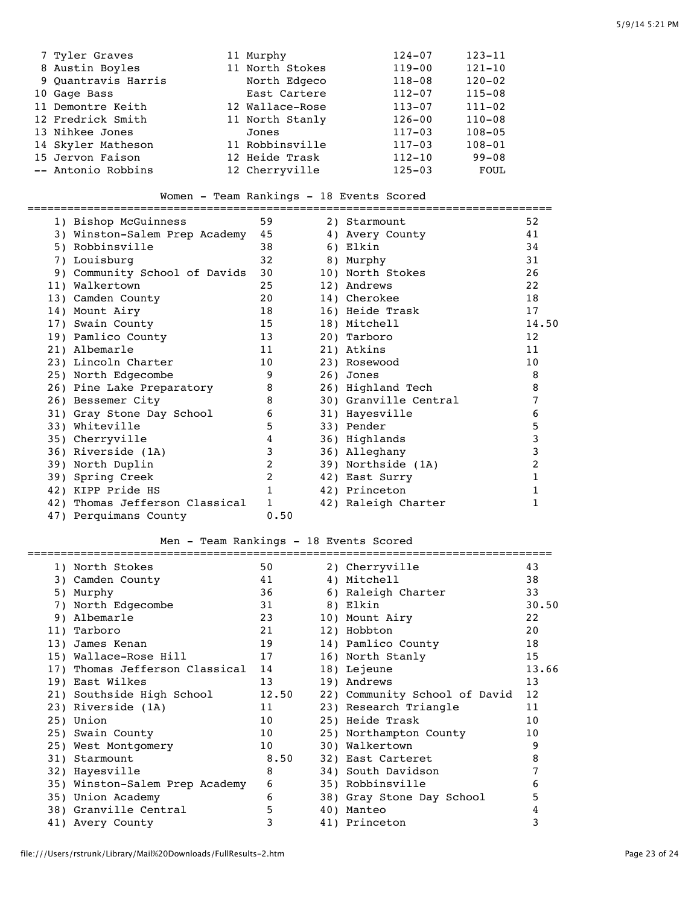| 7 Tyler Graves      | 11 Murphy       | $124 - 07$ | $123 - 11$ |
|---------------------|-----------------|------------|------------|
| 8 Austin Boyles     | 11 North Stokes | $119 - 00$ | $121 - 10$ |
| 9 Quantravis Harris | North Edgeco    | 118-08     | $120 - 02$ |
| 10 Gage Bass        | East Cartere    | $112 - 07$ | $115 - 08$ |
| 11 Demontre Keith   | 12 Wallace-Rose | $113 - 07$ | $111 - 02$ |
| 12 Fredrick Smith   | 11 North Stanly | $126 - 00$ | $110 - 08$ |
| 13 Nihkee Jones     | Jones           | $117 - 03$ | $108 - 05$ |
| 14 Skyler Matheson  | 11 Robbinsville | $117 - 03$ | $108 - 01$ |
| 15 Jervon Faison    | 12 Heide Trask  | $112 - 10$ | $99 - 08$  |
| -- Antonio Robbins  | 12 Cherryville  | $125 - 03$ | FOUL       |

## Women - Team Rankings - 18 Events Scored

| 1) Bishop McGuinness           | 59           | 2) Starmount          | 52               |
|--------------------------------|--------------|-----------------------|------------------|
| 3) Winston-Salem Prep Academy  | 45           | 4) Avery County       | 41               |
| 5) Robbinsville                | 38           | 6) Elkin              | 34               |
| 7) Louisburg                   | 32           | 8) Murphy             | 31               |
| 9) Community School of Davids  | 30           | 10) North Stokes      | 26               |
| 11) Walkertown                 | 2.5          | 12) Andrews           | 2.2 <sub>2</sub> |
| 13) Camden County              | 20           | 14) Cherokee          | 18               |
| 14) Mount Airy                 | 18           | 16) Heide Trask       | 17               |
| 17) Swain County               | 15           | 18) Mitchell          | 14.50            |
| 19) Pamlico County             | 13           | 20) Tarboro           | 12 <sup>2</sup>  |
| 21) Albemarle                  | 11           | 21) Atkins            | 11               |
| 23) Lincoln Charter            | 10           | 23) Rosewood          | 10               |
| 25) North Edgecombe            | 9            | 26) Jones             | 8                |
| 26) Pine Lake Preparatory      | 8            | 26) Highland Tech     | 8                |
| 26) Bessemer City              | 8            | 30) Granville Central |                  |
| 31) Gray Stone Day School      | 6            | 31) Hayesville        | 6                |
| 33) Whiteville                 | 5            | 33) Pender            | 5                |
| 35) Cherryville                | 4            | 36) Highlands         |                  |
| 36) Riverside (1A)             | 3            | 36) Alleghany         |                  |
| 39) North Duplin               | 2            | 39) Northside (1A)    |                  |
| 39) Spring Creek               | 2            | 42) East Surry        |                  |
| 42) KIPP Pride HS              |              | 42) Princeton         |                  |
| 42) Thomas Jefferson Classical | $\mathbf{1}$ | 42) Raleigh Charter   |                  |
| 47) Perquimans County          | 0.50         |                       |                  |
|                                |              |                       |                  |

## Men - Team Rankings - 18 Events Scored

| 1) North Stokes                | 50    | 2) Cherryville                | 43    |
|--------------------------------|-------|-------------------------------|-------|
| 3) Camden County               | 41    | 4) Mitchell                   | 38    |
| 5) Murphy                      | 36    | 6) Raleigh Charter            | 33    |
| 7) North Edgecombe             | 31    | 8) Elkin                      | 30.50 |
| 9) Albemarle                   | 23    | 10) Mount Airy                | 22    |
| 11) Tarboro                    | 21    | 12) Hobbton                   | 20    |
| 13) James Kenan                | 19    | 14) Pamlico County            | 18    |
| 15) Wallace-Rose Hill          | 17    | 16) North Stanly              | 15    |
| 17) Thomas Jefferson Classical | 14    | 18) Lejeune                   | 13.66 |
| 19) East Wilkes                | 13    | 19) Andrews                   | 13    |
| 21) Southside High School      | 12.50 | 22) Community School of David | 12    |
| 23) Riverside (1A)             | 11    | 23) Research Triangle         | 11    |
| 25) Union                      | 10    | 25) Heide Trask               | 10    |
| 25) Swain County               | 10    | 25) Northampton County        | 10    |
| 25) West Montgomery            | 10    | 30) Walkertown                | 9     |
| 31) Starmount                  | 8.50  | 32) East Carteret             | 8     |
| 32) Hayesville                 | 8     | 34) South Davidson            | 7     |
| 35) Winston-Salem Prep Academy | 6     | 35) Robbinsville              | 6     |
| 35) Union Academy              | 6     | 38) Gray Stone Day School     | 5     |
| 38) Granville Central          | 5     | 40) Manteo                    | 4     |
| 41) Avery County               | 3     | 41) Princeton                 | 3     |
|                                |       |                               |       |